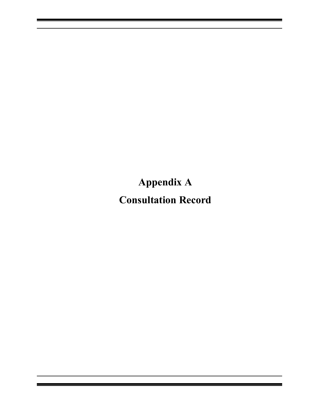<span id="page-0-2"></span><span id="page-0-1"></span><span id="page-0-0"></span>**Appendix A Consultation Record**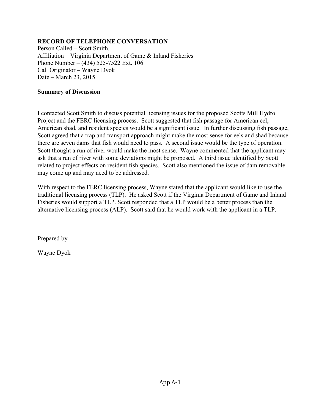Person Called – Scott Smith, Affiliation – Virginia Department of Game & Inland Fisheries Phone Number – (434) 525-7522 Ext. 106 Call Originator – Wayne Dyok Date – March 23, 2015

### **Summary of Discussion**

I contacted Scott Smith to discuss potential licensing issues for the proposed Scotts Mill Hydro Project and the FERC licensing process. Scott suggested that fish passage for American eel, American shad, and resident species would be a significant issue. In further discussing fish passage, Scott agreed that a trap and transport approach might make the most sense for eels and shad because there are seven dams that fish would need to pass. A second issue would be the type of operation. Scott thought a run of river would make the most sense. Wayne commented that the applicant may ask that a run of river with some deviations might be proposed. A third issue identified by Scott related to project effects on resident fish species. Scott also mentioned the issue of dam removable may come up and may need to be addressed.

With respect to the FERC licensing process, Wayne stated that the applicant would like to use the traditional licensing process (TLP). He asked Scott if the Virginia Department of Game and Inland Fisheries would support a TLP. Scott responded that a TLP would be a better process than the alternative licensing process (ALP). Scott said that he would work with the applicant in a TLP.

Prepared by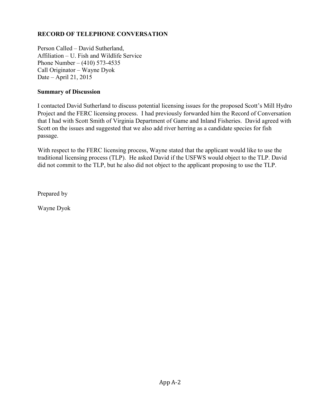Person Called – David Sutherland, Affiliation – U. Fish and Wildlife Service Phone Number – (410) 573-4535 Call Originator – Wayne Dyok Date – April 21, 2015

### **Summary of Discussion**

I contacted David Sutherland to discuss potential licensing issues for the proposed Scott's Mill Hydro Project and the FERC licensing process. I had previously forwarded him the Record of Conversation that I had with Scott Smith of Virginia Department of Game and Inland Fisheries. David agreed with Scott on the issues and suggested that we also add river herring as a candidate species for fish passage.

With respect to the FERC licensing process, Wayne stated that the applicant would like to use the traditional licensing process (TLP). He asked David if the USFWS would object to the TLP. David did not commit to the TLP, but he also did not object to the applicant proposing to use the TLP.

Prepared by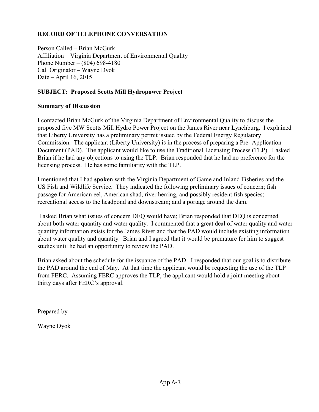Person Called – Brian McGurk Affiliation – Virginia Department of Environmental Quality Phone Number – (804) 698-4180 Call Originator – Wayne Dyok Date – April 16, 2015

# **SUBJECT: Proposed Scotts Mill Hydropower Project**

### **Summary of Discussion**

I contacted Brian McGurk of the Virginia Department of Environmental Quality to discuss the proposed five MW Scotts Mill Hydro Power Project on the James River near Lynchburg. I explained that Liberty University has a preliminary permit issued by the Federal Energy Regulatory Commission. The applicant (Liberty University) is in the process of preparing a Pre- Application Document (PAD). The applicant would like to use the Traditional Licensing Process (TLP). I asked Brian if he had any objections to using the TLP. Brian responded that he had no preference for the licensing process. He has some familiarity with the TLP.

I mentioned that I had **spoken** with the Virginia Department of Game and Inland Fisheries and the US Fish and Wildlife Service. They indicated the following preliminary issues of concern; fish passage for American eel, American shad, river herring, and possibly resident fish species; recreational access to the headpond and downstream; and a portage around the dam.

 I asked Brian what issues of concern DEQ would have; Brian responded that DEQ is concerned about both water quantity and water quality. I commented that a great deal of water quality and water quantity information exists for the James River and that the PAD would include existing information about water quality and quantity. Brian and I agreed that it would be premature for him to suggest studies until he had an opportunity to review the PAD.

Brian asked about the schedule for the issuance of the PAD. I responded that our goal is to distribute the PAD around the end of May. At that time the applicant would be requesting the use of the TLP from FERC. Assuming FERC approves the TLP, the applicant would hold a joint meeting about thirty days after FERC's approval.

Prepared by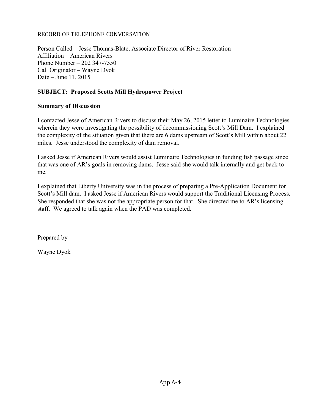Person Called – Jesse Thomas-Blate, Associate Director of River Restoration Affiliation – American Rivers Phone Number – 202 347-7550 Call Originator – Wayne Dyok Date – June 11, 2015

# **SUBJECT: Proposed Scotts Mill Hydropower Project**

### **Summary of Discussion**

I contacted Jesse of American Rivers to discuss their May 26, 2015 letter to Luminaire Technologies wherein they were investigating the possibility of decommissioning Scott's Mill Dam. I explained the complexity of the situation given that there are 6 dams upstream of Scott's Mill within about 22 miles. Jesse understood the complexity of dam removal.

I asked Jesse if American Rivers would assist Luminaire Technologies in funding fish passage since that was one of AR's goals in removing dams. Jesse said she would talk internally and get back to me.

I explained that Liberty University was in the process of preparing a Pre-Application Document for Scott's Mill dam. I asked Jesse if American Rivers would support the Traditional Licensing Process. She responded that she was not the appropriate person for that. She directed me to AR's licensing staff. We agreed to talk again when the PAD was completed.

Prepared by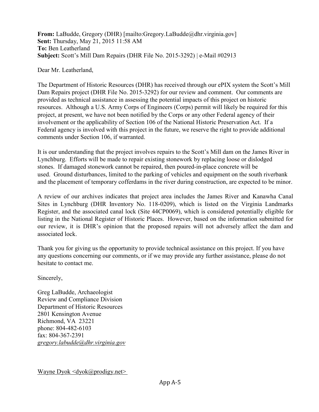**From:** LaBudde, Gregory (DHR) [mailto:Gregory.LaBudde@dhr.virginia.gov] **Sent:** Thursday, May 21, 2015 11:58 AM **To:** Ben Leatherland **Subject:** Scott's Mill Dam Repairs (DHR File No. 2015-3292) | e-Mail #02913

#### Dear Mr. Leatherland,

The Department of Historic Resources (DHR) has received through our ePIX system the Scott's Mill Dam Repairs project (DHR File No. 2015-3292) for our review and comment. Our comments are provided as technical assistance in assessing the potential impacts of this project on historic resources. Although a U.S. Army Corps of Engineers (Corps) permit will likely be required for this project, at present, we have not been notified by the Corps or any other Federal agency of their involvement or the applicability of Section 106 of the National Historic Preservation Act. If a Federal agency is involved with this project in the future, we reserve the right to provide additional comments under Section 106, if warranted.

It is our understanding that the project involves repairs to the Scott's Mill dam on the James River in Lynchburg. Efforts will be made to repair existing stonework by replacing loose or dislodged stones. If damaged stonework cannot be repaired, then poured-in-place concrete will be used. Ground disturbances, limited to the parking of vehicles and equipment on the south riverbank and the placement of temporary cofferdams in the river during construction, are expected to be minor.

A review of our archives indicates that project area includes the James River and Kanawha Canal Sites in Lynchburg (DHR Inventory No. 118-0209), which is listed on the Virginia Landmarks Register, and the associated canal lock (Site 44CP0069), which is considered potentially eligible for listing in the National Register of Historic Places. However, based on the information submitted for our review, it is DHR's opinion that the proposed repairs will not adversely affect the dam and associated lock.

Thank you for giving us the opportunity to provide technical assistance on this project. If you have any questions concerning our comments, or if we may provide any further assistance, please do not hesitate to contact me.

Sincerely,

Greg LaBudde, Archaeologist Review and Compliance Division Department of Historic Resources 2801 Kensington Avenue Richmond, VA 23221 phone: 804-482-6103 fax: 804-367-2391 *[gregory.labudde@dhr.virginia.gov](mailto:roger.kirchen@dhr.virginia.gov)*

Wayne Dyok  $\langle \text{dvok}(\hat{\omega})$  prodigy.net $\rangle$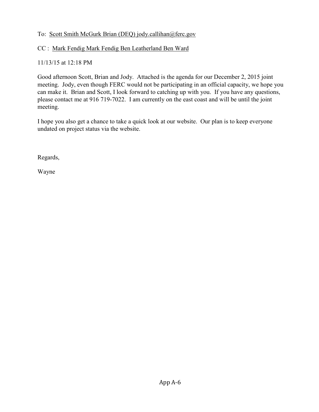# To: [Scott Smith](mailto:scott.smith@dgif.virginia.gov) [McGurk Brian \(DEQ\)](mailto:scott.smith@dgif.virginia.gov) [jody.callihan@ferc.gov](mailto:jody.callihan@ferc.gov)

# CC : [Mark Fendig](mailto:mfendig@aisva.net) [Mark Fendig](mailto:mfendig@aisva.net) [Ben Leatherland](mailto:bll@handp.com) [Ben Ward](mailto:bll@handp.com)

# 11/13/15 at 12:18 PM

Good afternoon Scott, Brian and Jody. Attached is the agenda for our December 2, 2015 joint meeting. Jody, even though FERC would not be participating in an official capacity, we hope you can make it. Brian and Scott, I look forward to catching up with you. If you have any questions, please contact me at 916 719-7022. I am currently on the east coast and will be until the joint meeting.

I hope you also get a chance to take a quick look at our website. Our plan is to keep everyone undated on project status via the website.

Regards,

Wayne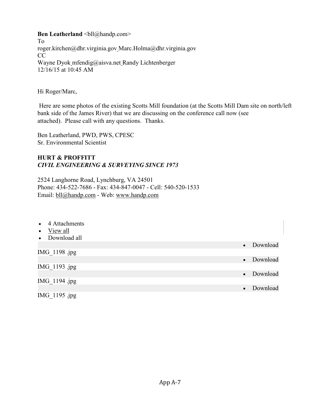**Ben Leatherland**  $\text{Coll@handp.com>}$ 

To [roger.kirchen@dhr.virginia.gov Marc.Holma@dhr.virginia.gov](mailto:roger.kirchen@dhr.virginia.gov)  CC [Wayne Dyok](mailto:dyok@prodigy.net) [mfendig@aisva.net](mailto:dyok@prodigy.net) [Randy Lichtenberger](mailto:rml@handp.com) 12/16/15 at 10:45 AM

Hi Roger/Marc,

Here are some photos of the existing Scotts Mill foundation (at the Scotts Mill Dam site on north/left bank side of the James River) that we are discussing on the conference call now (see attached). Please call with any questions. Thanks.

Ben Leatherland, PWD, PWS, CPESC Sr. Environmental Scientist

# **HURT & PROFFITT** *CIVIL ENGINEERING & SURVEYING SINCE 1973*

2524 Langhorne Road, Lynchburg, VA 24501 Phone: 434-522-7686 - Fax: 434-847-0047 - Cell: 540-520-1533 Email: [bll@handp.com](mailto:bll@handp.com) - Web: [www.handp.com](http://www.handp.com/)

| 4 Attachments<br>$\bullet$ |                       |
|----------------------------|-----------------------|
| View all<br>$\bullet$      |                       |
| • Download all             |                       |
|                            | Download<br>$\bullet$ |
| IMG 1198 .jpg              |                       |
|                            | Download<br>$\bullet$ |
| IMG 1193 .jpg              |                       |
|                            | Download<br>$\bullet$ |
| IMG 1194 .jpg              |                       |
|                            | Download<br>$\bullet$ |
| IMG_1195 .jpg              |                       |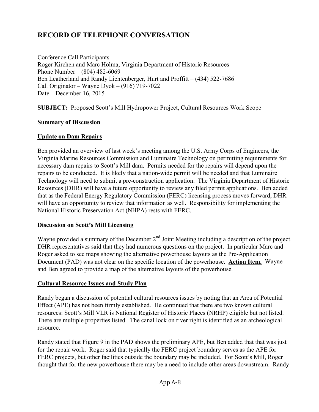Conference Call Participants Roger Kirchen and Marc Holma, Virginia Department of Historic Resources Phone Number – (804) 482-6069 Ben Leatherland and Randy Lichtenberger, Hurt and Proffitt – (434) 522-7686 Call Originator – Wayne Dyok – (916) 719-7022 Date – December 16, 2015

**SUBJECT:** Proposed Scott's Mill Hydropower Project, Cultural Resources Work Scope

#### **Summary of Discussion**

#### **Update on Dam Repairs**

Ben provided an overview of last week's meeting among the U.S. Army Corps of Engineers, the Virginia Marine Resources Commission and Luminaire Technology on permitting requirements for necessary dam repairs to Scott's Mill dam. Permits needed for the repairs will depend upon the repairs to be conducted. It is likely that a nation-wide permit will be needed and that Luminaire Technology will need to submit a pre-construction application. The Virginia Department of Historic Resources (DHR) will have a future opportunity to review any filed permit applications. Ben added that as the Federal Energy Regulatory Commission (FERC) licensing process moves forward, DHR will have an opportunity to review that information as well. Responsibility for implementing the National Historic Preservation Act (NHPA) rests with FERC.

### **Discussion on Scott's Mill Licensing**

Wayne provided a summary of the December 2<sup>nd</sup> Joint Meeting including a description of the project. DHR representatives said that they had numerous questions on the project. In particular Marc and Roger asked to see maps showing the alternative powerhouse layouts as the Pre-Application Document (PAD) was not clear on the specific location of the powerhouse. **Action Item.** Wayne and Ben agreed to provide a map of the alternative layouts of the powerhouse.

### **Cultural Resource Issues and Study Plan**

Randy began a discussion of potential cultural resources issues by noting that an Area of Potential Effect (APE) has not been firmly established. He continued that there are two known cultural resources: Scott's Mill VLR is National Register of Historic Places (NRHP) eligible but not listed. There are multiple properties listed. The canal lock on river right is identified as an archeological resource.

Randy stated that Figure 9 in the PAD shows the preliminary APE, but Ben added that that was just for the repair work. Roger said that typically the FERC project boundary serves as the APE for FERC projects, but other facilities outside the boundary may be included. For Scott's Mill, Roger thought that for the new powerhouse there may be a need to include other areas downstream. Randy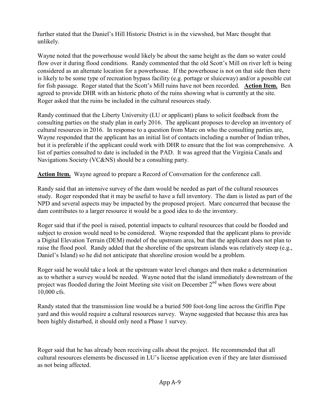further stated that the Daniel's Hill Historic District is in the viewshed, but Marc thought that unlikely.

Wayne noted that the powerhouse would likely be about the same height as the dam so water could flow over it during flood conditions. Randy commented that the old Scott's Mill on river left is being considered as an alternate location for a powerhouse. If the powerhouse is not on that side then there is likely to be some type of recreation bypass facility (e.g. portage or sluiceway) and/or a possible cut for fish passage. Roger stated that the Scott's Mill ruins have not been recorded. **Action Item.** Ben agreed to provide DHR with an historic photo of the ruins showing what is currently at the site. Roger asked that the ruins be included in the cultural resources study.

Randy continued that the Liberty University (LU or applicant) plans to solicit feedback from the consulting parties on the study plan in early 2016. The applicant proposes to develop an inventory of cultural resources in 2016. In response to a question from Marc on who the consulting parties are, Wayne responded that the applicant has an initial list of contacts including a number of Indian tribes, but it is preferable if the applicant could work with DHR to ensure that the list was comprehensive. A list of parties consulted to date is included in the PAD. It was agreed that the Virginia Canals and Navigations Society (VC&NS) should be a consulting party.

**Action Item.** Wayne agreed to prepare a Record of Conversation for the conference call.

Randy said that an intensive survey of the dam would be needed as part of the cultural resources study. Roger responded that it may be useful to have a full inventory. The dam is listed as part of the NPD and several aspects may be impacted by the proposed project. Marc concurred that because the dam contributes to a larger resource it would be a good idea to do the inventory.

Roger said that if the pool is raised, potential impacts to cultural resources that could be flooded and subject to erosion would need to be considered. Wayne responded that the applicant plans to provide a Digital Elevation Terrain (DEM) model of the upstream area, but that the applicant does not plan to raise the flood pool. Randy added that the shoreline of the upstream islands was relatively steep (e.g., Daniel's Island) so he did not anticipate that shoreline erosion would be a problem.

Roger said he would take a look at the upstream water level changes and then make a determination as to whether a survey would be needed. Wayne noted that the island immediately downstream of the project was flooded during the Joint Meeting site visit on December 2<sup>nd</sup> when flows were about 10,000 cfs.

Randy stated that the transmission line would be a buried 500 foot-long line across the Griffin Pipe yard and this would require a cultural resources survey. Wayne suggested that because this area has been highly disturbed, it should only need a Phase 1 survey.

Roger said that he has already been receiving calls about the project. He recommended that all cultural resources elements be discussed in LU's license application even if they are later dismissed as not being affected.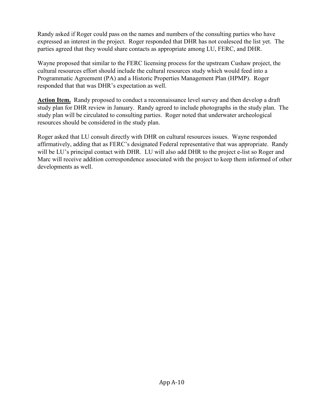Randy asked if Roger could pass on the names and numbers of the consulting parties who have expressed an interest in the project. Roger responded that DHR has not coalesced the list yet. The parties agreed that they would share contacts as appropriate among LU, FERC, and DHR.

Wayne proposed that similar to the FERC licensing process for the upstream Cushaw project, the cultural resources effort should include the cultural resources study which would feed into a Programmatic Agreement (PA) and a Historic Properties Management Plan (HPMP). Roger responded that that was DHR's expectation as well.

**Action Item.** Randy proposed to conduct a reconnaissance level survey and then develop a draft study plan for DHR review in January. Randy agreed to include photographs in the study plan. The study plan will be circulated to consulting parties. Roger noted that underwater archeological resources should be considered in the study plan.

Roger asked that LU consult directly with DHR on cultural resources issues. Wayne responded affirmatively, adding that as FERC's designated Federal representative that was appropriate. Randy will be LU's principal contact with DHR. LU will also add DHR to the project e-list so Roger and Marc will receive addition correspondence associated with the project to keep them informed of other developments as well.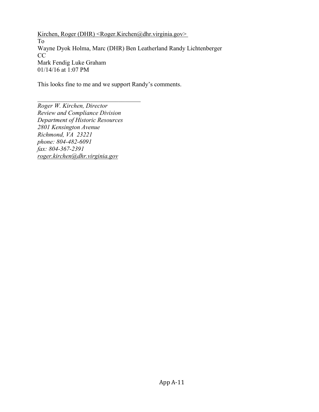Kirchen, Roger (DHR) <Roger.Kirchen@dhr.virginia.gov> To [Wayne Dyok](mailto:dyok@prodigy.net) [Holma, Marc \(DHR\)](mailto:dyok@prodigy.net) [Ben Leatherland](mailto:bll@handp.com) [Randy Lichtenberger](mailto:bll@handp.com) CC [Mark Fendig](mailto:mfendig@aisva.net) [Luke Graham](mailto:mfendig@aisva.net) 01/14/16 at 1:07 PM

This looks fine to me and we support Randy's comments.

*Roger W. Kirchen, Director Review and Compliance Division Department of Historic Resources 2801 Kensington Avenue Richmond, VA 23221 phone: 804-482-6091 fax: 804-367-2391 [roger.kirchen@dhr.virginia.gov](mailto:roger.kirchen@dhr.virginia.gov)*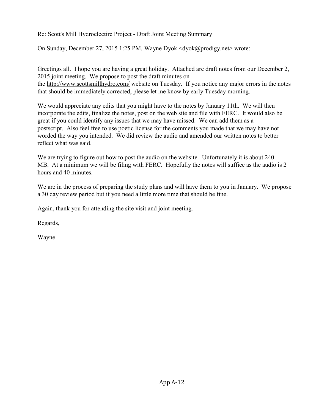Re: Scott's Mill Hydroelectirc Project - Draft Joint Meeting Summary

On Sunday, December 27, 2015 1:25 PM, Wayne Dyok <dyok@prodigy.net> wrote:

Greetings all. I hope you are having a great holiday. Attached are draft notes from our December 2, 2015 joint meeting. We propose to post the draft minutes on the<http://www.scottsmillhydro.com/>website on Tuesday. If you notice any major errors in the notes that should be immediately corrected, please let me know by early Tuesday morning.

We would appreciate any edits that you might have to the notes by January 11th. We will then incorporate the edits, finalize the notes, post on the web site and file with FERC. It would also be great if you could identify any issues that we may have missed. We can add them as a postscript. Also feel free to use poetic license for the comments you made that we may have not worded the way you intended. We did review the audio and amended our written notes to better reflect what was said.

We are trying to figure out how to post the audio on the website. Unfortunately it is about 240 MB. At a minimum we will be filing with FERC. Hopefully the notes will suffice as the audio is 2 hours and 40 minutes.

We are in the process of preparing the study plans and will have them to you in January. We propose a 30 day review period but if you need a little more time that should be fine.

Again, thank you for attending the site visit and joint meeting.

Regards,

Wayne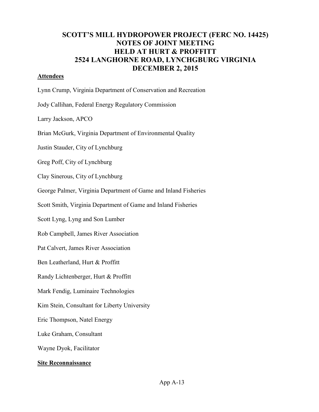# **SCOTT'S MILL HYDROPOWER PROJECT (FERC NO. 14425) NOTES OF JOINT MEETING HELD AT HURT & PROFFITT 2524 LANGHORNE ROAD, LYNCHGBURG VIRGINIA DECEMBER 2, 2015**

#### **Attendees**

Lynn Crump, Virginia Department of Conservation and Recreation

Jody Callihan, Federal Energy Regulatory Commission

Larry Jackson, APCO

Brian McGurk, Virginia Department of Environmental Quality

Justin Stauder, City of Lynchburg

Greg Poff, City of Lynchburg

Clay Sinerous, City of Lynchburg

George Palmer, Virginia Department of Game and Inland Fisheries

Scott Smith, Virginia Department of Game and Inland Fisheries

Scott Lyng, Lyng and Son Lumber

Rob Campbell, James River Association

Pat Calvert, James River Association

Ben Leatherland, Hurt & Proffitt

Randy Lichtenberger, Hurt & Proffitt

Mark Fendig, Luminaire Technologies

Kim Stein, Consultant for Liberty University

Eric Thompson, Natel Energy

Luke Graham, Consultant

Wayne Dyok, Facilitator

#### **Site Reconnaissance**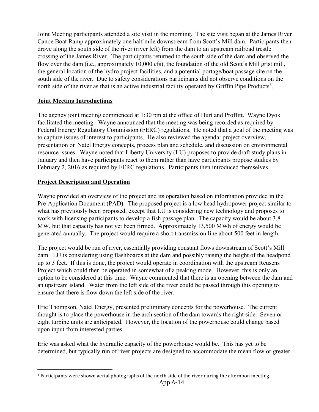Joint Meeting participants attended a site visit in the morning. The site visit began at the James River Canoe Boat Ramp approximately one half mile downstream from Scott's Mill dam. Participants then drove along the south side of the river (river left) from the dam to an upstream railroad trestle crossing of the James River. The participants returned to the south side of the dam and observed the flow over the dam (i.e., approximately 10,000 cfs), the foundation of the old Scott's Mill grist mill, the general location of the hydro project facilities, and a potential portage/boat passage site on the south side of the river. Due to safety considerations participants did not observe conditions on the north side of the river as that is an active industrial facility operated by Griffin Pipe Products<sup>[1](#page-0-0)</sup>.

# **Joint Meeting Introductions**

The agency joint meeting commenced at 1:30 pm at the office of Hurt and Proffitt. Wayne Dyok facilitated the meeting. Wayne announced that the meeting was being recorded as required by Federal Energy Regulatory Commission (FERC) regulations. He noted that a goal of the meeting was to capture issues of interest to participants. He also reviewed the agenda: project overview, presentation on Natel Energy concepts, process plan and schedule, and discussion on environmental resource issues. Wayne noted that Liberty University (LU) proposes to provide draft study plans in January and then have participants react to them rather than have participants propose studies by February 2, 2016 as required by FERC regulations. Participants then introduced themselves.

# **Project Description and Operation**

Wayne provided an overview of the project and its operation based on information provided in the Pre-Application Document (PAD). The proposed project is a low head hydropower project similar to what has previously been proposed, except that LU is considering new technology and proposes to work with licensing participants to develop a fish passage plan. The capacity would be about 3.8 MW, but that capacity has not yet been firmed. Approximately 13,500 MWh of energy would be generated annually. The project would require a short transmission line about 500 feet in length.

The project would be run of river, essentially providing constant flows downstream of Scott's Mill dam. LU is considering using flashboards at the dam and possibly raising the height of the headpond up to 3 feet. If this is done, the project would operate in coordination with the upstream Reusens Project which could then be operated in somewhat of a peaking mode. However, this is only an option to be considered at this time. Wayne commented that there is an opening between the dam and an upstream island. Water from the left side of the river could be passed through this opening to ensure that there is flow down the left side of the river.

Eric Thompson, Natel Energy, presented preliminary concepts for the powerhouse. The current thought is to place the powerhouse in the arch section of the dam towards the right side. Seven or eight turbine units are anticipated. However, the location of the powerhouse could change based upon input from interested parties.

Eric was asked what the hydraulic capacity of the powerhouse would be. This has yet to be determined, but typically run of river projects are designed to accommodate the mean flow or greater.

 $1$  Participants were shown aerial photographs of the north side of the river during the afternoon meeting.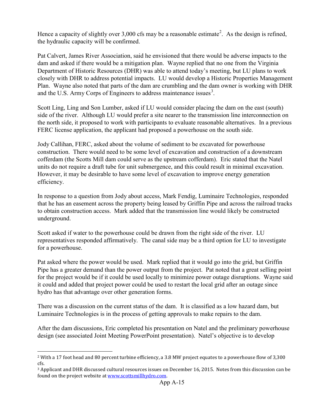Hence a capacity of slightly over 3,000 cfs may be a reasonable estimate<sup>[2](#page-0-1)</sup>. As the design is refined, the hydraulic capacity will be confirmed.

Pat Calvert, James River Association, said he envisioned that there would be adverse impacts to the dam and asked if there would be a mitigation plan. Wayne replied that no one from the Virginia Department of Historic Resources (DHR) was able to attend today's meeting, but LU plans to work closely with DHR to address potential impacts. LU would develop a Historic Properties Management Plan. Wayne also noted that parts of the dam are crumbling and the dam owner is working with DHR and the U.S. Army Corps of Engineers to address maintenance issues<sup>[3](#page-0-2)</sup>.

Scott Ling, Ling and Son Lumber, asked if LU would consider placing the dam on the east (south) side of the river. Although LU would prefer a site nearer to the transmission line interconnection on the north side, it proposed to work with participants to evaluate reasonable alternatives. In a previous FERC license application, the applicant had proposed a powerhouse on the south side.

Jody Callihan, FERC, asked about the volume of sediment to be excavated for powerhouse construction. There would need to be some level of excavation and construction of a downstream cofferdam (the Scotts Mill dam could serve as the upstream cofferdam). Eric stated that the Natel units do not require a draft tube for unit submergence, and this could result in minimal excavation. However, it may be desirable to have some level of excavation to improve energy generation efficiency.

In response to a question from Jody about access, Mark Fendig, Luminaire Technologies, responded that he has an easement across the property being leased by Griffin Pipe and across the railroad tracks to obtain construction access. Mark added that the transmission line would likely be constructed underground.

Scott asked if water to the powerhouse could be drawn from the right side of the river. LU representatives responded affirmatively. The canal side may be a third option for LU to investigate for a powerhouse.

Pat asked where the power would be used. Mark replied that it would go into the grid, but Griffin Pipe has a greater demand than the power output from the project. Pat noted that a great selling point for the project would be if it could be used locally to minimize power outage disruptions. Wayne said it could and added that project power could be used to restart the local grid after an outage since hydro has that advantage over other generation forms.

There was a discussion on the current status of the dam. It is classified as a low hazard dam, but Luminaire Technologies is in the process of getting approvals to make repairs to the dam.

After the dam discussions, Eric completed his presentation on Natel and the preliminary powerhouse design (see associated Joint Meeting PowerPoint presentation). Natel's objective is to develop

<sup>2</sup> With a 17 foot head and 80 percent turbine efficiency, a 3.8 MW project equates to a powerhouse flow of 3,300 cfs.

<sup>3</sup> Applicant and DHR discussed cultural resources issues on December 16, 2015. Notes from this discussion can be found on the project website at [www.scottsmillhydro.com.](http://www.scottsmillhydro.com/)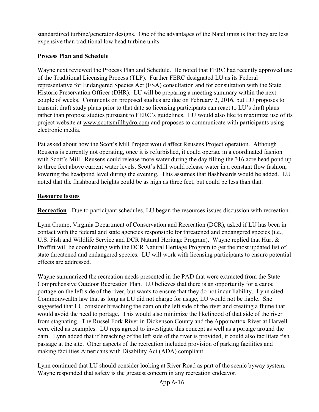standardized turbine/generator designs. One of the advantages of the Natel units is that they are less expensive than traditional low head turbine units.

# **Process Plan and Schedule**

Wayne next reviewed the Process Plan and Schedule. He noted that FERC had recently approved use of the Traditional Licensing Process (TLP). Further FERC designated LU as its Federal representative for Endangered Species Act (ESA) consultation and for consultation with the State Historic Preservation Officer (DHR). LU will be preparing a meeting summary within the next couple of weeks. Comments on proposed studies are due on February 2, 2016, but LU proposes to transmit draft study plans prior to that date so licensing participants can react to LU's draft plans rather than propose studies pursuant to FERC's guidelines. LU would also like to maximize use of its project website at [www.scottsmillhydro.com](http://www.scottsmillhydro.com/) and proposes to communicate with participants using electronic media.

Pat asked about how the Scott's Mill Project would affect Reusens Project operation. Although Reusens is currently not operating, once it is refurbished, it could operate in a coordinated fashion with Scott's Mill. Reusens could release more water during the day filling the 316 acre head pond up to three feet above current water levels. Scott's Mill would release water in a constant flow fashion, lowering the headpond level during the evening. This assumes that flashboards would be added. LU noted that the flashboard heights could be as high as three feet, but could be less than that.

# **Resource Issues**

**Recreation** - Due to participant schedules, LU began the resources issues discussion with recreation.

Lynn Crump, Virginia Department of Conservation and Recreation (DCR), asked if LU has been in contact with the federal and state agencies responsible for threatened and endangered species (i.e., U.S. Fish and Wildlife Service and DCR Natural Heritage Program). Wayne replied that Hurt & Proffitt will be coordinating with the DCR Natural Heritage Program to get the most updated list of state threatened and endangered species. LU will work with licensing participants to ensure potential effects are addressed.

Wayne summarized the recreation needs presented in the PAD that were extracted from the State Comprehensive Outdoor Recreation Plan. LU believes that there is an opportunity for a canoe portage on the left side of the river, but wants to ensure that they do not incur liability. Lynn cited Commonwealth law that as long as LU did not charge for usage, LU would not be liable. She suggested that LU consider breaching the dam on the left side of the river and creating a flume that would avoid the need to portage. This would also minimize the likelihood of that side of the river from stagnating. The Russel Fork River in Dickenson County and the Appomattox River at Harvell were cited as examples. LU reps agreed to investigate this concept as well as a portage around the dam. Lynn added that if breaching of the left side of the river is provided, it could also facilitate fish passage at the site. Other aspects of the recreation included provision of parking facilities and making facilities Americans with Disability Act (ADA) compliant.

Lynn continued that LU should consider looking at River Road as part of the scenic byway system. Wayne responded that safety is the greatest concern in any recreation endeavor.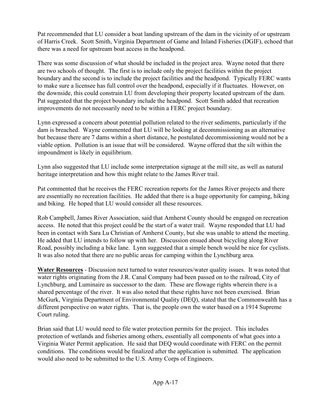Pat recommended that LU consider a boat landing upstream of the dam in the vicinity of or upstream of Harris Creek. Scott Smith, Virginia Department of Game and Inland Fisheries (DGIF), echoed that there was a need for upstream boat access in the headpond.

There was some discussion of what should be included in the project area. Wayne noted that there are two schools of thought. The first is to include only the project facilities within the project boundary and the second is to include the project facilities and the headpond. Typically FERC wants to make sure a licensee has full control over the headpond, especially if it fluctuates. However, on the downside, this could constrain LU from developing their property located upstream of the dam. Pat suggested that the project boundary include the headpond. Scott Smith added that recreation improvements do not necessarily need to be within a FERC project boundary.

Lynn expressed a concern about potential pollution related to the river sediments, particularly if the dam is breached. Wayne commented that LU will be looking at decommissioning as an alternative but because there are 7 dams within a short distance, he postulated decommissioning would not be a viable option. Pollution is an issue that will be considered. Wayne offered that the silt within the impoundment is likely in equilibrium.

Lynn also suggested that LU include some interpretation signage at the mill site, as well as natural heritage interpretation and how this might relate to the James River trail.

Pat commented that he receives the FERC recreation reports for the James River projects and there are essentially no recreation facilities. He added that there is a huge opportunity for camping, hiking and biking. He hoped that LU would consider all these resources.

Rob Campbell, James River Association, said that Amherst County should be engaged on recreation access. He noted that this project could be the start of a water trail. Wayne responded that LU had been in contact with Sara Lu Christian of Amherst County, but she was unable to attend the meeting. He added that LU intends to follow up with her. Discussion ensued about bicycling along River Road, possibly including a bike lane. Lynn suggested that a simple bench would be nice for cyclists. It was also noted that there are no public areas for camping within the Lynchburg area.

**Water Resources** - Discussion next turned to water resources/water quality issues. It was noted that water rights originating from the J.R. Canal Company had been passed on to the railroad, City of Lynchburg, and Luminaire as successor to the dam. These are flowage rights wherein there is a shared percentage of the river. It was also noted that these rights have not been exercised. Brian McGurk, Virginia Department of Environmental Quality (DEQ), stated that the Commonwealth has a different perspective on water rights. That is, the people own the water based on a 1914 Supreme Court ruling.

Brian said that LU would need to file water protection permits for the project. This includes protection of wetlands and fisheries among others, essentially all components of what goes into a Virginia Water Permit application. He said that DEQ would coordinate with FERC on the permit conditions. The conditions would be finalized after the application is submitted. The application would also need to be submitted to the U.S. Army Corps of Engineers.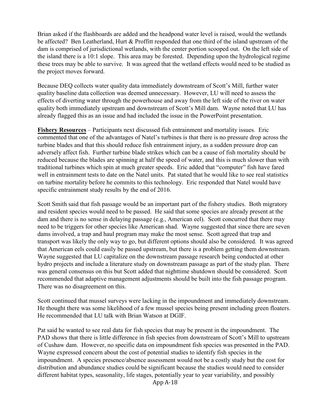Brian asked if the flashboards are added and the headpond water level is raised, would the wetlands be affected? Ben Leatherland, Hurt & Proffitt responded that one third of the island upstream of the dam is comprised of jurisdictional wetlands, with the center portion scooped out. On the left side of the island there is a 10:1 slope. This area may be forested. Depending upon the hydrological regime these trees may be able to survive. It was agreed that the wetland effects would need to be studied as the project moves forward.

Because DEQ collects water quality data immediately downstream of Scott's Mill, further water quality baseline data collection was deemed unnecessary. However, LU will need to assess the effects of diverting water through the powerhouse and away from the left side of the river on water quality both immediately upstream and downstream of Scott's Mill dam. Wayne noted that LU has already flagged this as an issue and had included the issue in the PowerPoint presentation.

**Fishery Resources** – Participants next discussed fish entrainment and mortality issues. Eric commented that one of the advantages of Natel's turbines is that there is no pressure drop across the turbine blades and that this should reduce fish entrainment injury, as a sudden pressure drop can adversely affect fish. Further turbine blade strikes which can be a cause of fish mortality should be reduced because the blades are spinning at half the speed of water, and this is much slower than with traditional turbines which spin at much greater speeds. Eric added that "computer" fish have fared well in entrainment tests to date on the Natel units. Pat stated that he would like to see real statistics on turbine mortality before he commits to this technology. Eric responded that Natel would have specific entrainment study results by the end of 2016.

Scott Smith said that fish passage would be an important part of the fishery studies. Both migratory and resident species would need to be passed. He said that some species are already present at the dam and there is no sense in delaying passage (e.g., American eel). Scott concurred that there may need to be triggers for other species like American shad. Wayne suggested that since there are seven dams involved, a trap and haul program may make the most sense. Scott agreed that trap and transport was likely the only way to go, but different options should also be considered. It was agreed that American eels could easily be passed upstream, but there is a problem getting them downstream. Wayne suggested that LU capitalize on the downstream passage research being conducted at other hydro projects and include a literature study on downstream passage as part of the study plan. There was general consensus on this but Scott added that nighttime shutdown should be considered. Scott recommended that adaptive management adjustments should be built into the fish passage program. There was no disagreement on this.

Scott continued that mussel surveys were lacking in the impoundment and immediately downstream. He thought there was some likelihood of a few mussel species being present including green floaters. He recommended that LU talk with Brian Watson at DGIF.

Pat said he wanted to see real data for fish species that may be present in the impoundment. The PAD shows that there is little difference in fish species from downstream of Scott's Mill to upstream of Cushaw dam. However, no specific data on impoundment fish species was presented in the PAD. Wayne expressed concern about the cost of potential studies to identify fish species in the impoundment. A species presence/absence assessment would not be a costly study but the cost for distribution and abundance studies could be significant because the studies would need to consider different habitat types, seasonality, life stages, potentially year to year variability, and possibly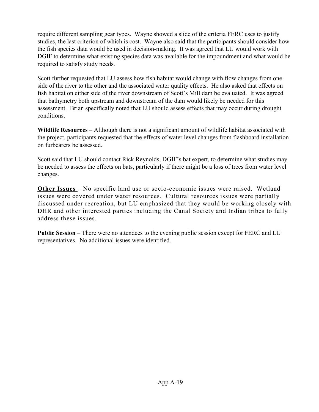require different sampling gear types. Wayne showed a slide of the criteria FERC uses to justify studies, the last criterion of which is cost. Wayne also said that the participants should consider how the fish species data would be used in decision-making. It was agreed that LU would work with DGIF to determine what existing species data was available for the impoundment and what would be required to satisfy study needs.

Scott further requested that LU assess how fish habitat would change with flow changes from one side of the river to the other and the associated water quality effects. He also asked that effects on fish habitat on either side of the river downstream of Scott's Mill dam be evaluated. It was agreed that bathymetry both upstream and downstream of the dam would likely be needed for this assessment. Brian specifically noted that LU should assess effects that may occur during drought conditions.

**Wildlife Resources** – Although there is not a significant amount of wildlife habitat associated with the project, participants requested that the effects of water level changes from flashboard installation on furbearers be assessed.

Scott said that LU should contact Rick Reynolds, DGIF's bat expert, to determine what studies may be needed to assess the effects on bats, particularly if there might be a loss of trees from water level changes.

**Other Issues** – No specific land use or socio-economic issues were raised. Wetland issues were covered under water resources. Cultural resources issues were partially discussed under recreation, but LU emphasized that they would be working closely with DHR and other interested parties including the Canal Society and Indian tribes to fully address these issues.

**Public Session** – There were no attendees to the evening public session except for FERC and LU representatives. No additional issues were identified.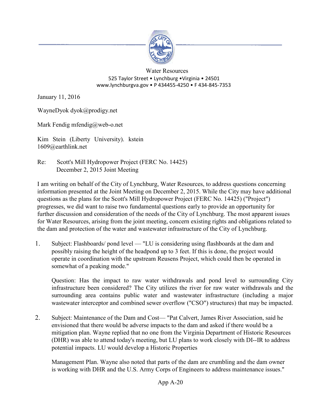

#### Water Resources 525 Taylor Street • Lynchburg •Virginia • 24501 www.lynchburgva.gov • P 434455-4250 • F 434-845-7353

January 11, 2016

WayneDyok dyok@prodigy.net

Mark Fendig mfendig@web-o.net

Kim Stein (Liberty University). kstein 1609@earthlink.net

Re: Scott's Mill Hydropower Project (FERC No. 14425) December 2, 2015 Joint Meeting

I am writing on behalf of the City of Lynchburg, Water Resources, to address questions concerning information presented at the Joint Meeting on December 2, 2015. While the City may have additional questions as the plans for the Scott's Mill Hydropower Project (FERC No. 14425) ("Project") progresses, we did want to raise two fundamental questions early to provide an opportunity for further discussion and consideration of the needs of the City of Lynchburg. The most apparent issues for Water Resources, arising from the joint meeting, concern existing rights and obligations related to the dam and protection of the water and wastewater infrastructure of the City of Lynchburg.

1. Subject: Flashboards/ pond level — "LU is considering using flashboards at the dam and possibly raising the height of the headpond up to 3 feet. If this is done, the project would operate in coordination with the upstream Reusens Project, which could then be operated in somewhat of a peaking mode."

Question: Has the impact to raw water withdrawals and pond level to surrounding City infrastructure been considered? The City utilizes the river for raw water withdrawals and the surrounding area contains public water and wastewater infrastructure (including a major wastewater interceptor and combined sewer overflow ("CSO") structures) that may be impacted.

2. Subject: Maintenance of the Dam and Cost— "Pat Calvert, James River Association, said he envisioned that there would be adverse impacts to the dam and asked if there would be a mitigation plan. Wayne replied that no one from the Virginia Department of Historic Resources (DHR) was able to attend today's meeting, but LU plans to work closely with DI--IR to address potential impacts. LU would develop a Historic Properties

Management Plan. Wayne also noted that parts of the dam are crumbling and the dam owner is working with DHR and the U.S. Army Corps of Engineers to address maintenance issues."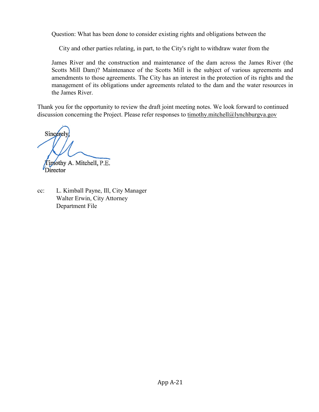Question: What has been done to consider existing rights and obligations between the

City and other parties relating, in part, to the City's right to withdraw water from the

James River and the construction and maintenance of the dam across the James River (the Scotts Mill Dam)? Maintenance of the Scotts Mill is the subject of various agreements and amendments to those agreements. The City has an interest in the protection of its rights and the management of its obligations under agreements related to the dam and the water resources in the James River.

Thank you for the opportunity to review the draft joint meeting notes. We look forward to continued discussion concerning the Project. Please refer responses to [timothy.mitchell@lynchburgva.gov](mailto:timothy.mitchell@lynchburgva.gov)

Sincerel

imothy A. Mitchell, P.E. Director

cc: L. Kimball Payne, Ill, City Manager Walter Erwin, City Attorney Department File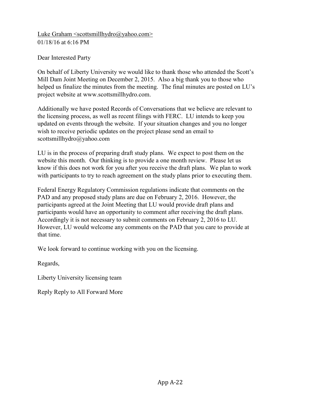[Luke Graham <scottsmillhydro@yahoo.com>](mailto:Luke%20Graham%20%3cscottsmillhydro@yahoo.com%3e) 01/18/16 at 6:16 PM

Dear Interested Party

On behalf of Liberty University we would like to thank those who attended the Scott's Mill Dam Joint Meeting on December 2, 2015. Also a big thank you to those who helped us finalize the minutes from the meeting. The final minutes are posted on LU's project website at www.scottsmillhydro.com.

Additionally we have posted Records of Conversations that we believe are relevant to the licensing process, as well as recent filings with FERC. LU intends to keep you updated on events through the website. If your situation changes and you no longer wish to receive periodic updates on the project please send an email to scottsmillhydro@yahoo.com

LU is in the process of preparing draft study plans. We expect to post them on the website this month. Our thinking is to provide a one month review. Please let us know if this does not work for you after you receive the draft plans. We plan to work with participants to try to reach agreement on the study plans prior to executing them.

Federal Energy Regulatory Commission regulations indicate that comments on the PAD and any proposed study plans are due on February 2, 2016. However, the participants agreed at the Joint Meeting that LU would provide draft plans and participants would have an opportunity to comment after receiving the draft plans. Accordingly it is not necessary to submit comments on February 2, 2016 to LU. However, LU would welcome any comments on the PAD that you care to provide at that time.

We look forward to continue working with you on the licensing.

Regards,

Liberty University licensing team

Reply Reply to All Forward More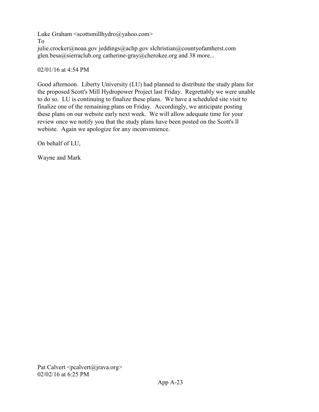[Luke Graham <scottsmillhydro@yahoo.com>](mailto:scottsmillhydro@yahoo.com) To julie.crocker@noaa.gov jeddings@achp.gov slchristian@countyofamherst.com glen.besa@sierraclub.org catherine-gray@cherokee.org and 38 more...

# 02/01/16 at 4:54 PM

Good afternoon. Liberty University (LU) had planned to distribute the study plans for the proposed Scott's Mill Hydropower Project last Friday. Regrettably we were unable to do so. LU is continuing to finalize these plans. We have a scheduled site visit to finalize one of the remaining plans on Friday. Accordingly, we anticipate posting these plans on our website early next week. We will allow adequate time for your review once we notify you that the study plans have been posted on the Scott's ll webiste. Again we apologize for any inconvenience.

On behalf of LU,

Wayne and Mark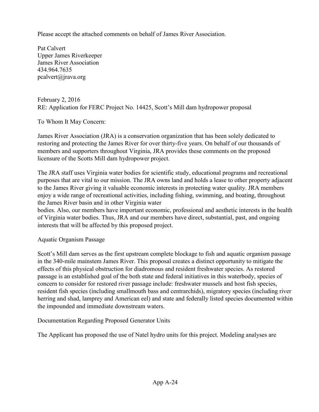Please accept the attached comments on behalf of James River Association.

Pat Calvert Upper James Riverkeeper James River Association 434.964.7635 pcalvert@jrava.org

February 2, 2016 RE: Application for FERC Project No. 14425, Scott's Mill dam hydropower proposal

To Whom It May Concern:

James River Association (JRA) is a conservation organization that has been solely dedicated to restoring and protecting the James River for over thirty-five years. On behalf of our thousands of members and supporters throughout Virginia, JRA provides these comments on the proposed licensure of the Scotts Mill dam hydropower project.

The JRA staff uses Virginia water bodies for scientific study, educational programs and recreational purposes that are vital to our mission. The JRA owns land and holds a lease to other property adjacent to the James River giving it valuable economic interests in protecting water quality. JRA members enjoy a wide range of recreational activities, including fishing, swimming, and boating, throughout the James River basin and in other Virginia water

bodies. Also, our members have important economic, professional and aesthetic interests in the health of Virginia water bodies. Thus, JRA and our members have direct, substantial, past, and ongoing interests that will be affected by this proposed project.

Aquatic Organism Passage

Scott's Mill dam serves as the first upstream complete blockage to fish and aquatic organism passage in the 340-mile mainstem James River. This proposal creates a distinct opportunity to mitigate the effects of this physical obstruction for diadromous and resident freshwater species. As restored passage is an established goal of the both state and federal initiatives in this waterbody, species of concern to consider for restored river passage include: freshwater mussels and host fish species, resident fish species (including smallmouth bass and centrarchids), migratory species (including river herring and shad, lamprey and American eel) and state and federally listed species documented within the impounded and immediate downstream waters.

Documentation Regarding Proposed Generator Units

The Applicant has proposed the use of Natel hydro units for this project. Modeling analyses are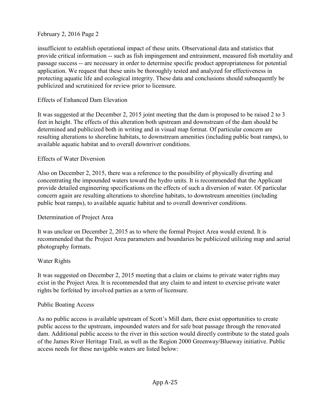insufficient to establish operational impact of these units. Observational data and statistics that provide critical information -- such as fish impingement and entrainment, measured fish mortality and passage success -- are necessary in order to determine specific product appropriateness for potential application. We request that these units be thoroughly tested and analyzed for effectiveness in protecting aquatic life and ecological integrity. These data and conclusions should subsequently be publicized and scrutinized for review prior to licensure.

# Effects of Enhanced Dam Elevation

It was suggested at the December 2, 2015 joint meeting that the dam is proposed to be raised 2 to 3 feet in height. The effects of this alteration both upstream and downstream of the dam should be determined and publicized both in writing and in visual map format. Of particular concern are resulting alterations to shoreline habitats, to downstream amenities (including public boat ramps), to available aquatic habitat and to overall downriver conditions.

### Effects of Water Diversion

Also on December 2, 2015, there was a reference to the possibility of physically diverting and concentrating the impounded waters toward the hydro units. It is recommended that the Applicant provide detailed engineering specifications on the effects of such a diversion of water. Of particular concern again are resulting alterations to shoreline habitats, to downstream amenities (including public boat ramps), to available aquatic habitat and to overall downriver conditions.

# Determination of Project Area

It was unclear on December 2, 2015 as to where the formal Project Area would extend. It is recommended that the Project Area parameters and boundaries be publicized utilizing map and aerial photography formats.

### Water Rights

It was suggested on December 2, 2015 meeting that a claim or claims to private water rights may exist in the Project Area. It is recommended that any claim to and intent to exercise private water rights be forfeited by involved parties as a term of licensure.

### Public Boating Access

As no public access is available upstream of Scott's Mill dam, there exist opportunities to create public access to the upstream, impounded waters and for safe boat passage through the renovated dam. Additional public access to the river in this section would directly contribute to the stated goals of the James River Heritage Trail, as well as the Region 2000 Greenway/Blueway initiative. Public access needs for these navigable waters are listed below: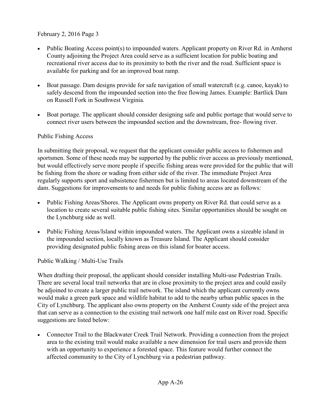- Public Boating Access point(s) to impounded waters. Applicant property on River Rd. in Amherst County adjoining the Project Area could serve as a sufficient location for public boating and recreational river access due to its proximity to both the river and the road. Sufficient space is available for parking and for an improved boat ramp.
- Boat passage. Dam designs provide for safe navigation of small watercraft (e.g. canoe, kayak) to safely descend from the impounded section into the free flowing James. Example: Bartlick Dam on Russell Fork in Southwest Virginia.
- Boat portage. The applicant should consider designing safe and public portage that would serve to connect river users between the impounded section and the downstream, free- flowing river.

# Public Fishing Access

In submitting their proposal, we request that the applicant consider public access to fishermen and sportsmen. Some of these needs may be supported by the public river access as previously mentioned, but would effectively serve more people if specific fishing areas were provided for the public that will be fishing from the shore or wading from either side of the river. The immediate Project Area regularly supports sport and subsistence fishermen but is limited to areas located downstream of the dam. Suggestions for improvements to and needs for public fishing access are as follows:

- Public Fishing Areas/Shores. The Applicant owns property on River Rd. that could serve as a location to create several suitable public fishing sites. Similar opportunities should be sought on the Lynchburg side as well.
- Public Fishing Areas/Island within impounded waters. The Applicant owns a sizeable island in the impounded section, locally known as Treasure Island. The Applicant should consider providing designated public fishing areas on this island for boater access.

Public Walking / Multi-Use Trails

When drafting their proposal, the applicant should consider installing Multi-use Pedestrian Trails. There are several local trail networks that are in close proximity to the project area and could easily be adjoined to create a larger public trail network. The island which the applicant currently owns would make a green park space and wildlife habitat to add to the nearby urban public spaces in the City of Lynchburg. The applicant also owns property on the Amherst County side of the project area that can serve as a connection to the existing trail network one half mile east on River road. Specific suggestions are listed below:

• Connector Trail to the Blackwater Creek Trail Network. Providing a connection from the project area to the existing trail would make available a new dimension for trail users and provide them with an opportunity to experience a forested space. This feature would further connect the affected community to the City of Lynchburg via a pedestrian pathway.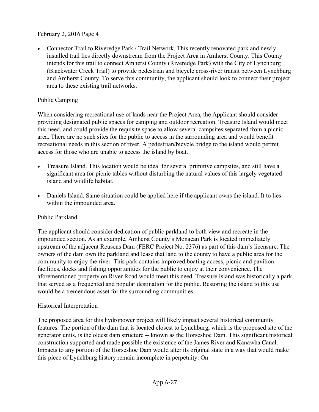• Connector Trail to Riveredge Park / Trail Network. This recently renovated park and newly installed trail lies directly downstream from the Project Area in Amherst County. This County intends for this trail to connect Amherst County (Riveredge Park) with the City of Lynchburg (Blackwater Creek Trail) to provide pedestrian and bicycle cross-river transit between Lynchburg and Amherst County. To serve this community, the applicant should look to connect their project area to these existing trail networks.

# Public Camping

When considering recreational use of lands near the Project Area, the Applicant should consider providing designated public spaces for camping and outdoor recreation. Treasure Island would meet this need, and could provide the requisite space to allow several campsites separated from a picnic area. There are no such sites for the public to access in the surrounding area and would benefit recreational needs in this section of river. A pedestrian/bicycle bridge to the island would permit access for those who are unable to access the island by boat.

- Treasure Island. This location would be ideal for several primitive campsites, and still have a significant area for picnic tables without disturbing the natural values of this largely vegetated island and wildlife habitat.
- Daniels Island. Same situation could be applied here if the applicant owns the island. It to lies within the impounded area.

### Public Parkland

The applicant should consider dedication of public parkland to both view and recreate in the impounded section. As an example, Amherst County's Monacan Park is located immediately upstream of the adjacent Reusens Dam (FERC Project No. 2376) as part of this dam's licensure. The owners of the dam own the parkland and lease that land to the county to have a public area for the community to enjoy the river. This park contains improved boating access, picnic and pavilion facilities, docks and fishing opportunities for the public to enjoy at their convenience. The aforementioned property on River Road would meet this need. Treasure Island was historically a park that served as a frequented and popular destination for the public. Restoring the island to this use would be a tremendous asset for the surrounding communities.

### Historical Interpretation

The proposed area for this hydropower project will likely impact several historical community features. The portion of the dam that is located closest to Lynchburg, which is the proposed site of the generator units, is the oldest dam structure -- known as the Horseshoe Dam. This significant historical construction supported and made possible the existence of the James River and Kanawha Canal. Impacts to any portion of the Horseshoe Dam would alter its original state in a way that would make this piece of Lynchburg history remain incomplete in perpetuity. On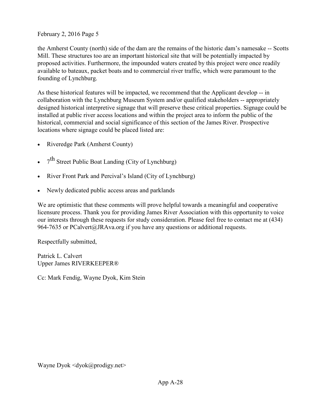the Amherst County (north) side of the dam are the remains of the historic dam's namesake -- Scotts Mill. These structures too are an important historical site that will be potentially impacted by proposed activities. Furthermore, the impounded waters created by this project were once readily available to bateaux, packet boats and to commercial river traffic, which were paramount to the founding of Lynchburg.

As these historical features will be impacted, we recommend that the Applicant develop -- in collaboration with the Lynchburg Museum System and/or qualified stakeholders -- appropriately designed historical interpretive signage that will preserve these critical properties. Signage could be installed at public river access locations and within the project area to inform the public of the historical, commercial and social significance of this section of the James River. Prospective locations where signage could be placed listed are:

- Riveredge Park (Amherst County)
- $7<sup>th</sup>$  Street Public Boat Landing (City of Lynchburg)
- River Front Park and Percival's Island (City of Lynchburg)
- Newly dedicated public access areas and parklands

We are optimistic that these comments will prove helpful towards a meaningful and cooperative licensure process. Thank you for providing James River Association with this opportunity to voice our interests through these requests for study consideration. Please feel free to contact me at (434) 964-7635 or PCalvert@JRAva.org if you have any questions or additional requests.

Respectfully submitted,

Patrick L. Calvert Upper James RIVERKEEPER®

Cc: Mark Fendig, Wayne Dyok, Kim Stein

[Wayne Dyok <dyok@prodigy.net>](mailto:dyok@prodigy.net)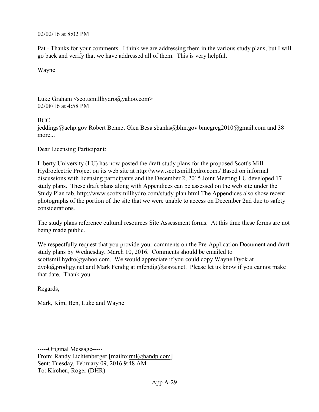#### 02/02/16 at 8:02 PM

Pat - Thanks for your comments. I think we are addressing them in the various study plans, but I will go back and verify that we have addressed all of them. This is very helpful.

Wayne

Luke Graham <scottsmillhydro@yahoo.com> 02/08/16 at 4:58 PM

#### BCC

jeddings@achp.gov Robert Bennet Glen Besa sbanks@blm.gov bmcgreg2010@gmail.com and 38 more...

Dear Licensing Participant:

Liberty University (LU) has now posted the draft study plans for the proposed Scott's Mill Hydroelectric Project on its web site at http://www.scottsmillhydro.com./ Based on informal discussions with licensing participants and the December 2, 2015 Joint Meeting LU developed 17 study plans. These draft plans along with Appendices can be assessed on the web site under the Study Plan tab. http://www.scottsmillhydro.com/study-plan.html The Appendices also show recent photographs of the portion of the site that we were unable to access on December 2nd due to safety considerations.

The study plans reference cultural resources Site Assessment forms. At this time these forms are not being made public.

We respectfully request that you provide your comments on the Pre-Application Document and draft study plans by Wednesday, March 10, 2016. Comments should be emailed to scottsmillhydro@yahoo.com. We would appreciate if you could copy Wayne Dyok at dyok@prodigy.net and Mark Fendig at mfendig@aisva.net. Please let us know if you cannot make that date. Thank you.

Regards,

Mark, Kim, Ben, Luke and Wayne

-----Original Message----- From: Randy Lichtenberger [mailto:rml@handp.com] Sent: Tuesday, February 09, 2016 9:48 AM To: Kirchen, Roger (DHR)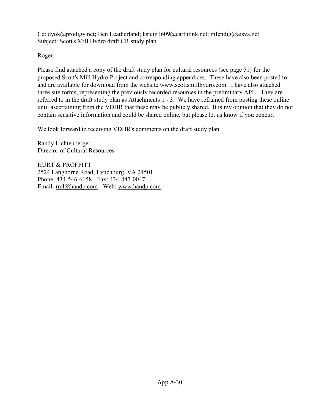Cc: [dyok@prodigy.net;](mailto:dyok@prodigy.net) Ben Leatherland; [kstein1609@earthlink.net;](mailto:kstein1609@earthlink.net) [mfendig@aisva.net](mailto:mfendig@aisva.net) Subject: Scott's Mill Hydro draft CR study plan

Roger,

Please find attached a copy of the draft study plan for cultural resources (see page 51) for the proposed Scott's Mill Hydro Project and corresponding appendices. These have also been posted to and are available for download from the website www.scottsmillhydro.com. I have also attached three site forms, representing the previously recorded resources in the preliminary APE. They are referred to in the draft study plan as Attachments 1 - 3. We have refrained from posting these online until ascertaining from the VDHR that these may be publicly shared. It is my opinion that they do not contain sensitive information and could be shared online, but please let us know if you concur.

We look forward to receiving VDHR's comments on the draft study plan.

Randy Lichtenberger Director of Cultural Resources

HURT & PROFFITT 2524 Langhorne Road, Lynchburg, VA 24501 Phone: 434-546-6158 - Fax: 434-847-0047 Email: [rml@handp.com](mailto:rml@handp.com) - Web: [www.handp.com](http://www.handp.com/)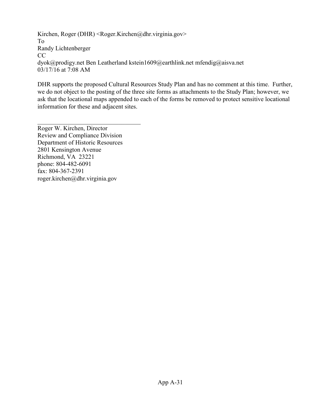Kirchen, Roger (DHR) <Roger.Kirchen@dhr.virginia.gov> To [Randy Lichtenberger](mailto:rml@handp.com)  CC [dyok@prodigy.net Ben Leatherland](mailto:dyok@prodigy.net) [kstein1609@earthlink.net mfendig@aisva.net](mailto:kstein1609@earthlink.net)  03/17/16 at 7:08 AM

DHR supports the proposed Cultural Resources Study Plan and has no comment at this time. Further, we do not object to the posting of the three site forms as attachments to the Study Plan; however, we ask that the locational maps appended to each of the forms be removed to protect sensitive locational information for these and adjacent sites.

Roger W. Kirchen, Director Review and Compliance Division Department of Historic Resources 2801 Kensington Avenue Richmond, VA 23221 phone: 804-482-6091 fax: 804-367-2391 [roger.kirchen@dhr.virginia.gov](mailto:roger.kirchen@dhr.virginia.gov)

 $\mathcal{L}_\text{max}$  , where  $\mathcal{L}_\text{max}$  and  $\mathcal{L}_\text{max}$  and  $\mathcal{L}_\text{max}$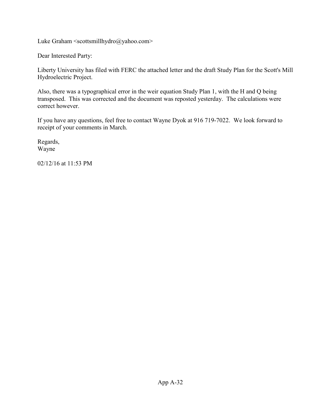[Luke Graham <scottsmillhydro@yahoo.com>](mailto:Luke%20Graham%20%3cscottsmillhydro@yahoo.com%3e)

Dear Interested Party:

Liberty University has filed with FERC the attached letter and the draft Study Plan for the Scott's Mill Hydroelectric Project.

Also, there was a typographical error in the weir equation Study Plan 1, with the H and Q being transposed. This was corrected and the document was reposted yesterday. The calculations were correct however.

If you have any questions, feel free to contact Wayne Dyok at 916 719-7022. We look forward to receipt of your comments in March.

Regards, Wayne

02/12/16 at 11:53 PM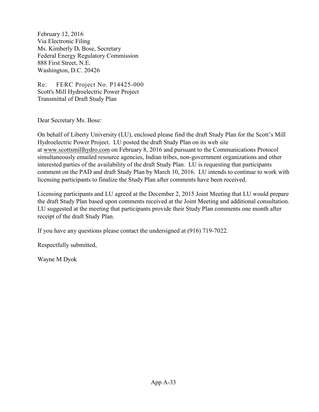February 12, 2016 Via Electronic Filing Ms. Kimberly D**.** Bose, Secretary Federal Energy Regulatory Commission 888 First Street, N.E. Washington, D.C. 20426

Re: FERC Project No. P14425-000 Scott's Mill Hydroelectric Power Project Transmittal of Draft Study Plan

Dear Secretary Ms. Bose:

On behalf of Liberty University (LU), enclosed please find the draft Study Plan for the Scott's Mill Hydroelectric Power Project. LU posted the draft Study Plan on its web site at [www.scottsmillhydro.com](http://www.scottsmillhydro.com/) on February 8, 2016 and pursuant to the Communications Protocol simultaneously emailed resource agencies, Indian tribes, non-government organizations and other interested parties of the availability of the draft Study Plan. LU is requesting that participants comment on the PAD and draft Study Plan by March 10, 2016. LU intends to continue to work with licensing participants to finalize the Study Plan after comments have been received.

Licensing participants and LU agreed at the December 2, 2015 Joint Meeting that LU would prepare the draft Study Plan based upon comments received at the Joint Meeting and additional consultation. LU suggested at the meeting that participants provide their Study Plan comments one month after receipt of the draft Study Plan.

If you have any questions please contact the undersigned at (916) 719-7022.

Respectfully submitted,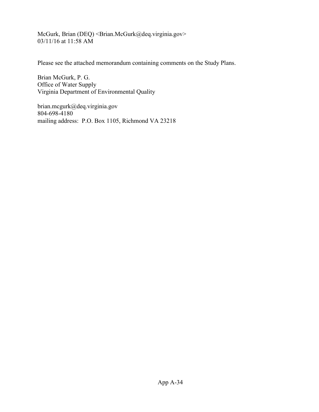McGurk, Brian (DEQ) < Brian.McGurk@deq.virginia.gov> 03/11/16 at 11:58 AM

Please see the attached memorandum containing comments on the Study Plans.

Brian McGurk, P. G. Office of Water Supply Virginia Department of Environmental Quality

brian.mcgurk@deq.virginia.gov 804-698-4180 mailing address: P.O. Box 1105, Richmond VA 23218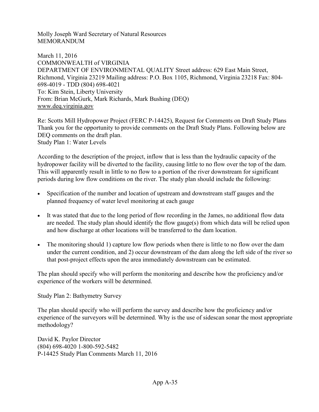Molly Joseph Ward Secretary of Natural Resources MEMORANDUM

March 11, 2016 COMMONWEALTH of VIRGINIA DEPARTMENT OF ENVIRONMENTAL QUALITY Street address: 629 East Main Street, Richmond, Virginia 23219 Mailing address: P.O. Box 1105, Richmond, Virginia 23218 Fax: 804- 698-4019 - TDD (804) 698-4021 To: Kim Stein, Liberty University From: Brian McGurk, Mark Richards, Mark Bushing (DEQ) [www.deq.virginia.gov](http://www.deq.virginia.gov/)

Re: Scotts Mill Hydropower Project (FERC P-14425), Request for Comments on Draft Study Plans Thank you for the opportunity to provide comments on the Draft Study Plans. Following below are DEQ comments on the draft plan. Study Plan 1: Water Levels

According to the description of the project, inflow that is less than the hydraulic capacity of the hydropower facility will be diverted to the facility, causing little to no flow over the top of the dam. This will apparently result in little to no flow to a portion of the river downstream for significant periods during low flow conditions on the river. The study plan should include the following:

- Specification of the number and location of upstream and downstream staff gauges and the planned frequency of water level monitoring at each gauge
- It was stated that due to the long period of flow recording in the James, no additional flow data are needed. The study plan should identify the flow gauge(s) from which data will be relied upon and how discharge at other locations will be transferred to the dam location.
- The monitoring should 1) capture low flow periods when there is little to no flow over the dam under the current condition, and 2) occur downstream of the dam along the left side of the river so that post-project effects upon the area immediately downstream can be estimated.

The plan should specify who will perform the monitoring and describe how the proficiency and/or experience of the workers will be determined.

Study Plan 2: Bathymetry Survey

The plan should specify who will perform the survey and describe how the proficiency and/or experience of the surveyors will be determined. Why is the use of sidescan sonar the most appropriate methodology?

David K. Paylor Director (804) 698-4020 1-800-592-5482 P-14425 Study Plan Comments March 11, 2016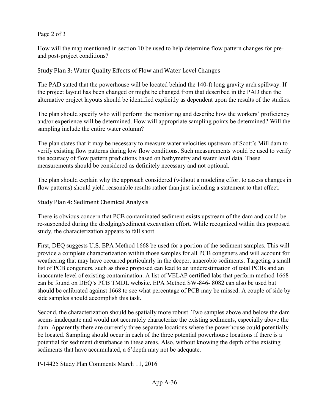#### Page 2 of 3

How will the map mentioned in section 10 be used to help determine flow pattern changes for preand post-project conditions?

Study Plan 3: Water Quality Effects of Flow and Water Level Changes

The PAD stated that the powerhouse will be located behind the 140-ft long gravity arch spillway. If the project layout has been changed or might be changed from that described in the PAD then the alternative project layouts should be identified explicitly as dependent upon the results of the studies.

The plan should specify who will perform the monitoring and describe how the workers' proficiency and/or experience will be determined. How will appropriate sampling points be determined? Will the sampling include the entire water column?

The plan states that it may be necessary to measure water velocities upstream of Scott's Mill dam to verify existing flow patterns during low flow conditions. Such measurements would be used to verify the accuracy of flow pattern predictions based on bathymetry and water level data. These measurements should be considered as definitely necessary and not optional.

The plan should explain why the approach considered (without a modeling effort to assess changes in flow patterns) should yield reasonable results rather than just including a statement to that effect.

Study Plan 4: Sediment Chemical Analysis

There is obvious concern that PCB contaminated sediment exists upstream of the dam and could be re-suspended during the dredging/sediment excavation effort. While recognized within this proposed study, the characterization appears to fall short.

First, DEQ suggests U.S. EPA Method 1668 be used for a portion of the sediment samples. This will provide a complete characterization within those samples for all PCB congeners and will account for weathering that may have occurred particularly in the deeper, anaerobic sediments. Targeting a small list of PCB congeners, such as those proposed can lead to an underestimation of total PCBs and an inaccurate level of existing contamination. A list of VELAP certified labs that perform method 1668 can be found on DEQ's PCB TMDL website. EPA Method SW-846- 8082 can also be used but should be calibrated against 1668 to see what percentage of PCB may be missed. A couple of side by side samples should accomplish this task.

Second, the characterization should be spatially more robust. Two samples above and below the dam seems inadequate and would not accurately characterize the existing sediments, especially above the dam. Apparently there are currently three separate locations where the powerhouse could potentially be located. Sampling should occur in each of the three potential powerhouse locations if there is a potential for sediment disturbance in these areas. Also, without knowing the depth of the existing sediments that have accumulated, a 6'depth may not be adequate.

P-14425 Study Plan Comments March 11, 2016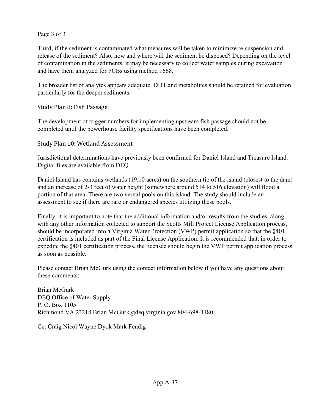Page 3 of 3

Third, if the sediment is contaminated what measures will be taken to minimize re-suspension and release of the sediment? Also, how and where will the sediment be disposed? Depending on the level of contamination in the sediments, it may be necessary to collect water samples during excavation and have them analyzed for PCBs using method 1668.

The broader list of analytes appears adequate. DDT and metabolites should be retained for evaluation particularly for the deeper sediments.

Study Plan 8: Fish Passage

The development of trigger numbers for implementing upstream fish passage should not be completed until the powerhouse facility specifications have been completed.

Study Plan 10: Wetland Assessment

Jurisdictional determinations have previously been confirmed for Daniel Island and Treasure Island. Digital files are available from DEQ.

Daniel Island has contains wetlands (19.10 acres) on the southern tip of the island (closest to the dam) and an increase of 2-3 feet of water height (somewhere around 514 to 516 elevation) will flood a portion of that area. There are two vernal pools on this island. The study should include an assessment to see if there are rare or endangered species utilizing these pools.

Finally, it is important to note that the additional information and/or results from the studies, along with any other information collected to support the Scotts Mill Project License Application process, should be incorporated into a Virginia Water Protection (VWP) permit application so that the §401 certification is included as part of the Final License Application. It is recommended that, in order to expedite the §401 certification process, the licensee should begin the VWP permit application process as soon as possible.

Please contact Brian McGurk using the contact information below if you have any questions about these comments:

Brian McGurk DEQ Office of Water Supply P. O. Box 1105 Richmond VA 23218 Brian.McGurk@deq.virginia.gov 804-698-4180

Cc: Craig Nicol Wayne Dyok Mark Fendig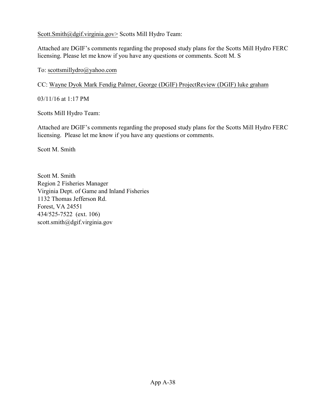[Scott.Smith@dgif.virginia.gov> S](mailto:Scott.Smith@dgif.virginia.gov)cotts Mill Hydro Team:

Attached are DGIF's comments regarding the proposed study plans for the Scotts Mill Hydro FERC licensing. Please let me know if you have any questions or comments. Scott M. S

#### To: [scottsmillydro@yahoo.com](mailto:scottsmillydro@yahoo.com)

CC: [Wayne Dyok Mark Fendig](mailto:dyok@prodigy.net) [Palmer, George \(DGIF\)](mailto:George.Palmer@dgif.virginia.gov) [ProjectReview](mailto:George.Palmer@dgif.virginia.gov) (DGIF) [luke graham](mailto:lukegraham_5@yahoo.com)

03/11/16 at 1:17 PM

Scotts Mill Hydro Team:

Attached are DGIF's comments regarding the proposed study plans for the Scotts Mill Hydro FERC licensing. Please let me know if you have any questions or comments.

Scott M. Smith

Scott M. Smith Region 2 Fisheries Manager Virginia Dept. of Game and Inland Fisheries 1132 Thomas Jefferson Rd. Forest, VA 24551 434/525-7522 (ext. 106) scott.smith@dgif.virginia.gov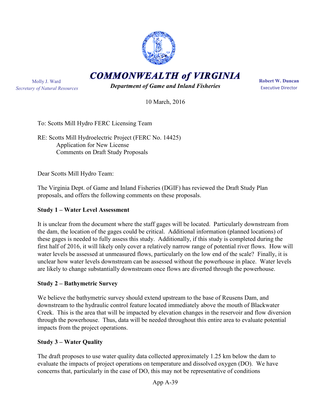

**COMMONWEALTH of VIRGINIA** 

Molly J. Ward *Secretary of Natural Resources*

*Department of Game and Inland Fisheries* 

**Robert W. Duncan** Executive Director

10 March, 2016

To: Scotts Mill Hydro FERC Licensing Team

RE: Scotts Mill Hydroelectric Project (FERC No. 14425) Application for New License Comments on Draft Study Proposals

Dear Scotts Mill Hydro Team:

The Virginia Dept. of Game and Inland Fisheries (DGIF) has reviewed the Draft Study Plan proposals, and offers the following comments on these proposals.

# **Study 1 – Water Level Assessment**

It is unclear from the document where the staff gages will be located. Particularly downstream from the dam, the location of the gages could be critical. Additional information (planned locations) of these gages is needed to fully assess this study. Additionally, if this study is completed during the first half of 2016, it will likely only cover a relatively narrow range of potential river flows. How will water levels be assessed at unmeasured flows, particularly on the low end of the scale? Finally, it is unclear how water levels downstream can be assessed without the powerhouse in place. Water levels are likely to change substantially downstream once flows are diverted through the powerhouse.

# **Study 2 – Bathymetric Survey**

We believe the bathymetric survey should extend upstream to the base of Reusens Dam, and downstream to the hydraulic control feature located immediately above the mouth of Blackwater Creek. This is the area that will be impacted by elevation changes in the reservoir and flow diversion through the powerhouse. Thus, data will be needed throughout this entire area to evaluate potential impacts from the project operations.

#### **Study 3 – Water Quality**

The draft proposes to use water quality data collected approximately 1.25 km below the dam to evaluate the impacts of project operations on temperature and dissolved oxygen (DO). We have concerns that, particularly in the case of DO, this may not be representative of conditions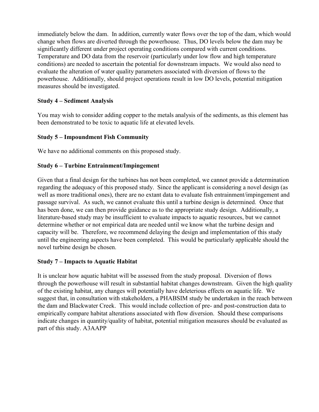immediately below the dam. In addition, currently water flows over the top of the dam, which would change when flows are diverted through the powerhouse. Thus, DO levels below the dam may be significantly different under project operating conditions compared with current conditions. Temperature and DO data from the reservoir (particularly under low flow and high temperature conditions) are needed to ascertain the potential for downstream impacts. We would also need to evaluate the alteration of water quality parameters associated with diversion of flows to the powerhouse. Additionally, should project operations result in low DO levels, potential mitigation measures should be investigated.

#### **Study 4 – Sediment Analysis**

You may wish to consider adding copper to the metals analysis of the sediments, as this element has been demonstrated to be toxic to aquatic life at elevated levels.

#### **Study 5 – Impoundment Fish Community**

We have no additional comments on this proposed study.

#### **Study 6 – Turbine Entrainment/Impingement**

Given that a final design for the turbines has not been completed, we cannot provide a determination regarding the adequacy of this proposed study. Since the applicant is considering a novel design (as well as more traditional ones), there are no extant data to evaluate fish entrainment/impingement and passage survival. As such, we cannot evaluate this until a turbine design is determined. Once that has been done, we can then provide guidance as to the appropriate study design. Additionally, a literature-based study may be insufficient to evaluate impacts to aquatic resources, but we cannot determine whether or not empirical data are needed until we know what the turbine design and capacity will be. Therefore, we recommend delaying the design and implementation of this study until the engineering aspects have been completed. This would be particularly applicable should the novel turbine design be chosen.

#### **Study 7 – Impacts to Aquatic Habitat**

It is unclear how aquatic habitat will be assessed from the study proposal. Diversion of flows through the powerhouse will result in substantial habitat changes downstream. Given the high quality of the existing habitat, any changes will potentially have deleterious effects on aquatic life. We suggest that, in consultation with stakeholders, a PHABSIM study be undertaken in the reach between the dam and Blackwater Creek. This would include collection of pre- and post-construction data to empirically compare habitat alterations associated with flow diversion. Should these comparisons indicate changes in quantity/quality of habitat, potential mitigation measures should be evaluated as part of this study. A3AAPP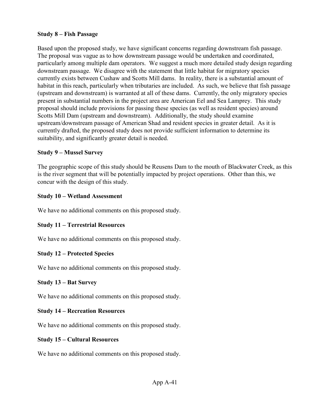#### **Study 8 – Fish Passage**

Based upon the proposed study, we have significant concerns regarding downstream fish passage. The proposal was vague as to how downstream passage would be undertaken and coordinated, particularly among multiple dam operators. We suggest a much more detailed study design regarding downstream passage. We disagree with the statement that little habitat for migratory species currently exists between Cushaw and Scotts Mill dams. In reality, there is a substantial amount of habitat in this reach, particularly when tributaries are included. As such, we believe that fish passage (upstream and downstream) is warranted at all of these dams. Currently, the only migratory species present in substantial numbers in the project area are American Eel and Sea Lamprey. This study proposal should include provisions for passing these species (as well as resident species) around Scotts Mill Dam (upstream and downstream). Additionally, the study should examine upstream/downstream passage of American Shad and resident species in greater detail. As it is currently drafted, the proposed study does not provide sufficient information to determine its suitability, and significantly greater detail is needed.

#### **Study 9 – Mussel Survey**

The geographic scope of this study should be Reusens Dam to the mouth of Blackwater Creek, as this is the river segment that will be potentially impacted by project operations. Other than this, we concur with the design of this study.

#### **Study 10 – Wetland Assessment**

We have no additional comments on this proposed study.

# **Study 11 – Terrestrial Resources**

We have no additional comments on this proposed study.

# **Study 12 – Protected Species**

We have no additional comments on this proposed study.

#### **Study 13 – Bat Survey**

We have no additional comments on this proposed study.

#### **Study 14 – Recreation Resources**

We have no additional comments on this proposed study.

#### **Study 15 – Cultural Resources**

We have no additional comments on this proposed study.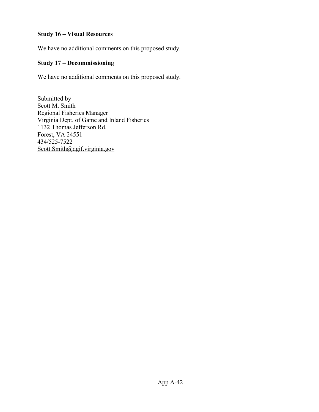#### **Study 16 – Visual Resources**

We have no additional comments on this proposed study.

#### **Study 17 – Decommissioning**

We have no additional comments on this proposed study.

Submitted by Scott M. Smith Regional Fisheries Manager Virginia Dept. of Game and Inland Fisheries 1132 Thomas Jefferson Rd. Forest, VA 24551 434/525-7522 [Scott.Smith@dgif.virginia.gov](mailto:Scott.Smith@dgif.virginia.gov)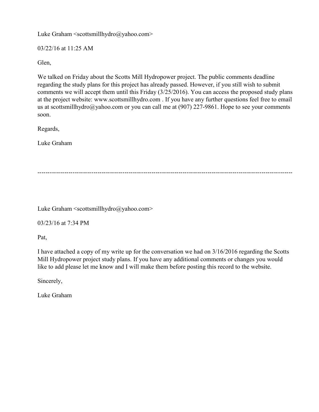Luke Graham <scottsmillhydro@yahoo.com>

03/22/16 at 11:25 AM

Glen,

We talked on Friday about the Scotts Mill Hydropower project. The public comments deadline regarding the study plans for this project has already passed. However, if you still wish to submit comments we will accept them until this Friday (3/25/2016). You can access the proposed study plans at the project website: www.scottsmillhydro.com . If you have any further questions feel free to email us at scottsmillhydro@yahoo.com or you can call me at  $(907)$  227-9861. Hope to see your comments soon.

Regards,

Luke Graham

---------------------------------------------------------------------------------------------------------------------------

[Luke Graham <scottsmillhydro@yahoo.com>](mailto:Luke%20Graham%20%3cscottsmillhydro@yahoo.com%3e) 

03/23/16 at 7:34 PM

Pat,

I have attached a copy of my write up for the conversation we had on 3/16/2016 regarding the Scotts Mill Hydropower project study plans. If you have any additional comments or changes you would like to add please let me know and I will make them before posting this record to the website.

Sincerely,

Luke Graham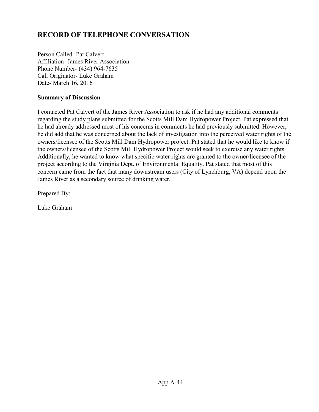# **RECORD OF TELEPHONE CONVERSATION**

Person Called- Pat Calvert Affiliation- James River Association Phone Number- (434) 964-7635 Call Originator- Luke Graham Date- March 16, 2016

#### **Summary of Discussion**

I contacted Pat Calvert of the James River Association to ask if he had any additional comments regarding the study plans submitted for the Scotts Mill Dam Hydropower Project. Pat expressed that he had already addressed most of his concerns in comments he had previously submitted. However, he did add that he was concerned about the lack of investigation into the perceived water rights of the owners/licensee of the Scotts Mill Dam Hydropower project. Pat stated that he would like to know if the owners/licensee of the Scotts Mill Hydropower Project would seek to exercise any water rights. Additionally, he wanted to know what specific water rights are granted to the owner/licensee of the project according to the Virginia Dept. of Environmental Equality. Pat stated that most of this concern came from the fact that many downstream users (City of Lynchburg, VA) depend upon the James River as a secondary source of drinking water.

Prepared By:

Luke Graham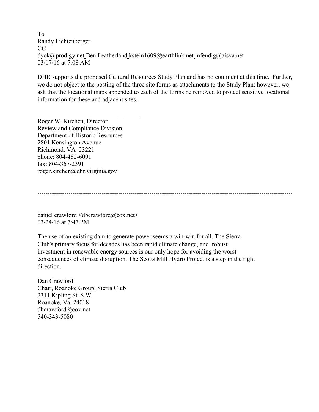To [Randy Lichtenberger](mailto:rml@handp.com) CC [dyok@prodigy.net Ben Leatherland](mailto:dyok@prodigy.net) [kstein1609@earthlink.net mfendig@aisva.net](mailto:kstein1609@earthlink.net)  03/17/16 at 7:08 AM

DHR supports the proposed Cultural Resources Study Plan and has no comment at this time. Further, we do not object to the posting of the three site forms as attachments to the Study Plan; however, we ask that the locational maps appended to each of the forms be removed to protect sensitive locational information for these and adjacent sites.

Roger W. Kirchen, Director Review and Compliance Division Department of Historic Resources 2801 Kensington Avenue Richmond, VA 23221 phone: 804-482-6091 fax: 804-367-2391 [roger.kirchen@dhr.virginia.gov](mailto:roger.kirchen@dhr.virginia.gov)

 $\mathcal{L}_\text{max}$  , where  $\mathcal{L}_\text{max}$  and  $\mathcal{L}_\text{max}$  and  $\mathcal{L}_\text{max}$ 

---------------------------------------------------------------------------------------------------------------------------

daniel crawford  $\langle$ dbcrawford $\langle$ @cox.net $\rangle$ 03/24/16 at 7:47 PM

The use of an existing dam to generate power seems a win-win for all. The Sierra Club's primary focus for decades has been rapid climate change, and robust investment in renewable energy sources is our only hope for avoiding the worst consequences of climate disruption. The Scotts Mill Hydro Project is a step in the right direction.

Dan Crawford Chair, Roanoke Group, Sierra Club 2311 Kipling St. S.W. Roanoke, Va. 24018 dbcrawford@cox.net 540-343-5080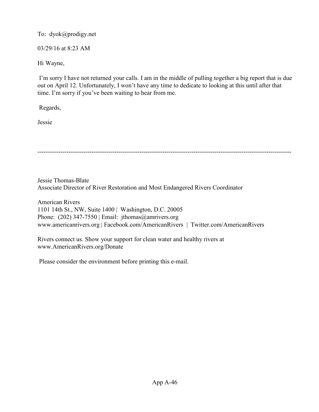To: [dyok@prodigy.net](mailto:dyok@prodigy.net) 

03/29/16 at 8:23 AM

Hi Wayne,

I'm sorry I have not returned your calls. I am in the middle of pulling together a big report that is due out on April 12. Unfortunately, I won't have any time to dedicate to looking at this until after that time. I'm sorry if you've been waiting to hear from me.

Regards,

Jessie

--------------------------------------------------------------------------------------------------------------------------

Jessie Thomas-Blate Associate Director of River Restoration and Most Endangered Rivers Coordinator

American Rivers 1101 14th St., NW, Suite 1400 | Washington, D.C. 20005 Phone: (202) 347-7550 | Email: jthomas@amrivers.org [www.americanrivers.org](http://www.americanrivers.org/) | [Facebook.com/AmericanRivers](http://www.facebook.com/AmericanRivers) | [Twitter.com/AmericanRivers](http://www.twitter.com/americanrivers)

Rivers connect us. Show your support for clean water and healthy rivers at [www.AmericanRivers.org/Donate](http://www.americanrivers.org/Donate)

Please consider the environment before printing this e-mail.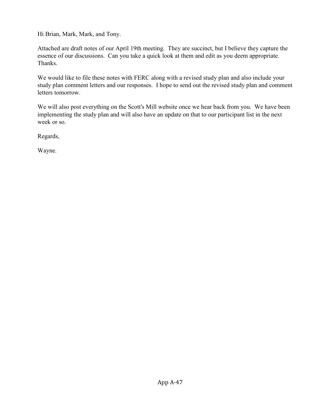Hi Brian, Mark, Mark, and Tony.

Attached are draft notes of our April 19th meeting. They are succinct, but I believe they capture the essence of our discussions. Can you take a quick look at them and edit as you deem appropriate. Thanks.

We would like to file these notes with FERC along with a revised study plan and also include your study plan comment letters and our responses. I hope to send out the revised study plan and comment letters tomorrow.

We will also post everything on the Scott's Mill website once we hear back from you. We have been implementing the study plan and will also have an update on that to our participant list in the next week or so.

Regards,

Wayne.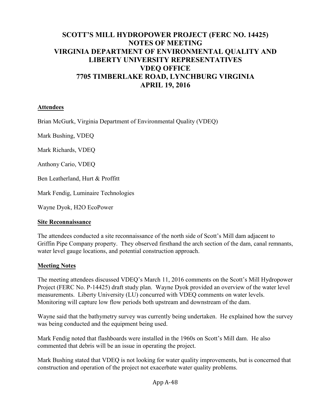# **SCOTT'S MILL HYDROPOWER PROJECT (FERC NO. 14425) NOTES OF MEETING VIRGINIA DEPARTMENT OF ENVIRONMENTAL QUALITY AND LIBERTY UNIVERSITY REPRESENTATIVES VDEQ OFFICE 7705 TIMBERLAKE ROAD, LYNCHBURG VIRGINIA APRIL 19, 2016**

#### **Attendees**

Brian McGurk, Virginia Department of Environmental Quality (VDEQ)

Mark Bushing, VDEQ

Mark Richards, VDEQ

Anthony Cario, VDEQ

Ben Leatherland, Hurt & Proffitt

Mark Fendig, Luminaire Technologies

Wayne Dyok, H2O EcoPower

#### **Site Reconnaissance**

The attendees conducted a site reconnaissance of the north side of Scott's Mill dam adjacent to Griffin Pipe Company property. They observed firsthand the arch section of the dam, canal remnants, water level gauge locations, and potential construction approach.

#### **Meeting Notes**

The meeting attendees discussed VDEQ's March 11, 2016 comments on the Scott's Mill Hydropower Project (FERC No. P-14425) draft study plan. Wayne Dyok provided an overview of the water level measurements. Liberty University (LU) concurred with VDEQ comments on water levels. Monitoring will capture low flow periods both upstream and downstream of the dam.

Wayne said that the bathymetry survey was currently being undertaken. He explained how the survey was being conducted and the equipment being used.

Mark Fendig noted that flashboards were installed in the 1960s on Scott's Mill dam. He also commented that debris will be an issue in operating the project.

Mark Bushing stated that VDEQ is not looking for water quality improvements, but is concerned that construction and operation of the project not exacerbate water quality problems.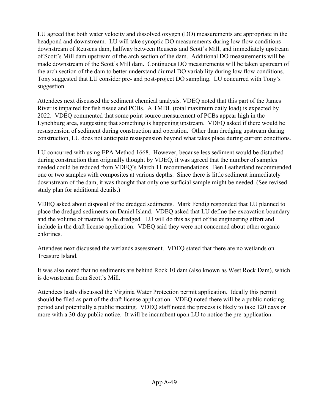LU agreed that both water velocity and dissolved oxygen (DO) measurements are appropriate in the headpond and downstream. LU will take synoptic DO measurements during low flow conditions downstream of Reusens dam, halfway between Reusens and Scott's Mill, and immediately upstream of Scott's Mill dam upstream of the arch section of the dam. Additional DO measurements will be made downstream of the Scott's Mill dam. Continuous DO measurements will be taken upstream of the arch section of the dam to better understand diurnal DO variability during low flow conditions. Tony suggested that LU consider pre- and post-project DO sampling. LU concurred with Tony's suggestion.

Attendees next discussed the sediment chemical analysis. VDEQ noted that this part of the James River is impaired for fish tissue and PCBs. A TMDL (total maximum daily load) is expected by 2022. VDEQ commented that some point source measurement of PCBs appear high in the Lynchburg area, suggesting that something is happening upstream. VDEQ asked if there would be resuspension of sediment during construction and operation. Other than dredging upstream during construction, LU does not anticipate resuspension beyond what takes place during current conditions.

LU concurred with using EPA Method 1668. However, because less sediment would be disturbed during construction than originally thought by VDEQ, it was agreed that the number of samples needed could be reduced from VDEQ's March 11 recommendations. Ben Leatherland recommended one or two samples with composites at various depths. Since there is little sediment immediately downstream of the dam, it was thought that only one surficial sample might be needed. (See revised study plan for additional details.)

VDEQ asked about disposal of the dredged sediments. Mark Fendig responded that LU planned to place the dredged sediments on Daniel Island. VDEQ asked that LU define the excavation boundary and the volume of material to be dredged. LU will do this as part of the engineering effort and include in the draft license application. VDEQ said they were not concerned about other organic chlorines.

Attendees next discussed the wetlands assessment. VDEQ stated that there are no wetlands on Treasure Island.

It was also noted that no sediments are behind Rock 10 dam (also known as West Rock Dam), which is downstream from Scott's Mill.

Attendees lastly discussed the Virginia Water Protection permit application. Ideally this permit should be filed as part of the draft license application. VDEQ noted there will be a public noticing period and potentially a public meeting. VDEQ staff noted the process is likely to take 120 days or more with a 30-day public notice. It will be incumbent upon LU to notice the pre-application.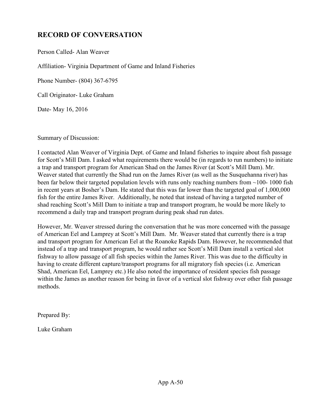# **RECORD OF CONVERSATION**

Person Called- Alan Weaver

Affiliation- Virginia Department of Game and Inland Fisheries

Phone Number- (804) 367-6795

Call Originator- Luke Graham

Date- May 16, 2016

Summary of Discussion:

I contacted Alan Weaver of Virginia Dept. of Game and Inland fisheries to inquire about fish passage for Scott's Mill Dam. I asked what requirements there would be (in regards to run numbers) to initiate a trap and transport program for American Shad on the James River (at Scott's Mill Dam). Mr. Weaver stated that currently the Shad run on the James River (as well as the Susquehanna river) has been far below their targeted population levels with runs only reaching numbers from ~100- 1000 fish in recent years at Bosher's Dam. He stated that this was far lower than the targeted goal of 1,000,000 fish for the entire James River. Additionally, he noted that instead of having a targeted number of shad reaching Scott's Mill Dam to initiate a trap and transport program, he would be more likely to recommend a daily trap and transport program during peak shad run dates.

However, Mr. Weaver stressed during the conversation that he was more concerned with the passage of American Eel and Lamprey at Scott's Mill Dam. Mr. Weaver stated that currently there is a trap and transport program for American Eel at the Roanoke Rapids Dam. However, he recommended that instead of a trap and transport program, he would rather see Scott's Mill Dam install a vertical slot fishway to allow passage of all fish species within the James River. This was due to the difficulty in having to create different capture/transport programs for all migratory fish species (i.e. American Shad, American Eel, Lamprey etc.) He also noted the importance of resident species fish passage within the James as another reason for being in favor of a vertical slot fishway over other fish passage methods.

Prepared By:

Luke Graham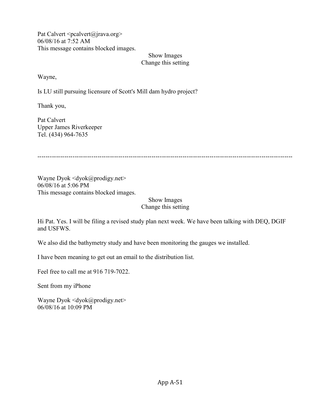Pat Calvert  $\leq$  pcalvert $\omega$  jrava.org > 06/08/16 at 7:52 AM This message contains blocked images.

#### Show Images Change this setting

Wayne,

Is LU still pursuing licensure of Scott's Mill dam hydro project?

Thank you,

Pat Calvert Upper James Riverkeeper Tel. (434) 964-7635

---------------------------------------------------------------------------------------------------------------------------

Wayne Dyok  $\langle \text{dyok}(\hat{\alpha})$  prodigy.net $\rangle$ 06/08/16 at 5:06 PM This message contains blocked images.

> Show Images Change this setting

Hi Pat. Yes. I will be filing a revised study plan next week. We have been talking with DEQ, DGIF and USFWS.

We also did the bathymetry study and have been monitoring the gauges we installed.

I have been meaning to get out an email to the distribution list.

Feel free to call me at 916 719-7022.

Sent from my iPhone

Wayne Dyok  $\langle \text{dyok}(\omega) \text{prodigy.net} \rangle$ 06/08/16 at 10:09 PM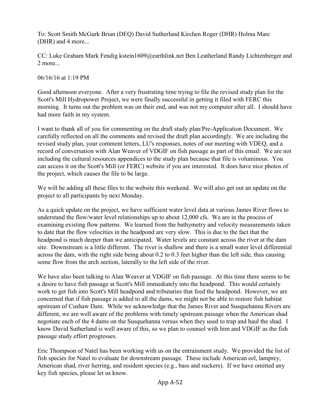To: [Scott Smith](mailto:scott.smith@dgif.virginia.gov) [McGurk Brian \(DEQ\)](mailto:scott.smith@dgif.virginia.gov) [David Sutherland](mailto:david_sutherland@fws.gov) [Kirchen Roger \(DHR\)](mailto:david_sutherland@fws.gov) [Holma Marc](mailto:marc.holma@dhr.virginia.gov)  [\(DHR\)](mailto:marc.holma@dhr.virginia.gov) and 4 more...

CC: [Luke Graham](mailto:lukegraham_5@yahoo.com) [Mark Fendig](mailto:lukegraham_5@yahoo.com) [kstein1609@earthlink.net](mailto:kstein1609@earthlink.net) [Ben Leatherland](mailto:kstein1609@earthlink.net) [Randy Lichtenberger](mailto:rml@handp.com) and 2 more...

06/16/16 at 1:19 PM

Good afternoon everyone. After a very frustrating time trying to file the revised study plan for the Scott's Mill Hydropower Project, we were finally successful in getting it filed with FERC this morning. It turns out the problem was on their end, and was not my computer after all. I should have had more faith in my system.

I want to thank all of you for commenting on the draft study plan/Pre-Application Document. We carefully reflected on all the comments and revised the draft plan accordingly. We are including the revised study plan, your comment letters, LU's responses, notes of our meeting with VDEQ, and a record of conversation with Alan Weaver of VDGIF on fish passage as part of this email. We are not including the cultural resources appendices to the study plan because that file is voluminous. You can access it on the Scott's Mill (or FERC) website if you are interested. It does have nice photos of the project, which causes the file to be large.

We will be adding all these files to the website this weekend. We will also get out an update on the project to all participants by next Monday.

As a quick update on the project, we have sufficient water level data at various James River flows to understand the flow/water level relationships up to about 12,000 cfs. We are in the process of examining existing flow patterns. We learned from the bathymetry and velocity measurements taken to date that the flow velocities in the headpond are very slow. This is due to the fact that the headpond is much deeper than we anticipated. Water levels are constant across the river at the dam site. Downstream is a little different. The river is shallow and there is a small water level differential across the dam, with the right side being about 0.2 to 0.3 feet higher than the left side, thus causing some flow from the arch section, laterally to the left side of the river.

We have also been talking to Alan Weaver at VDGIF on fish passage. At this time there seems to be a desire to have fish passage at Scott's Mill immediately into the headpond. This would certainly work to get fish into Scott's Mill headpond and tributaries that feed the headpond. However, we are concerned that if fish passage is added to all the dams, we might not be able to restore fish habitat upstream of Cushaw Dam. While we acknowledge that the James River and Susquehanna Rivers are different, we are well aware of the problems with timely upstream passage when the American shad negotiate each of the 4 dams on the Susquehanna versus when they used to trap and haul the shad. I know David Sutherland is well aware of this, so we plan to counsel with him and VDGIF as the fish passage study effort progresses.

Eric Thompson of Natel has been working with us on the entrainment study. We provided the list of fish species for Natel to evaluate for downstream passage. These include American eel, lamprey, American shad, river herring, and resident species (e.g., bass and suckers). If we have omitted any key fish species, please let us know.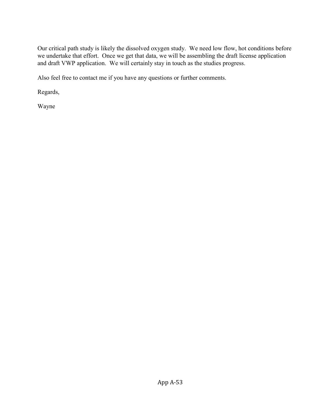Our critical path study is likely the dissolved oxygen study. We need low flow, hot conditions before we undertake that effort. Once we get that data, we will be assembling the draft license application and draft VWP application. We will certainly stay in touch as the studies progress.

Also feel free to contact me if you have any questions or further comments.

Regards,

Wayne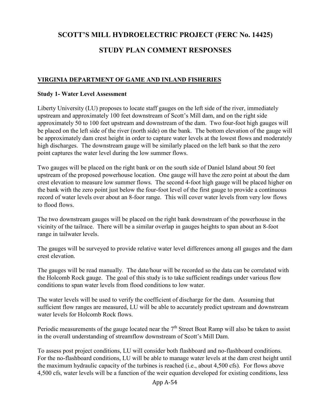# **SCOTT'S MILL HYDROELECTRIC PROJECT (FERC No. 14425)**

# **STUDY PLAN COMMENT RESPONSES**

# **VIRGINIA DEPARTMENT OF GAME AND INLAND FISHERIES**

#### **Study 1- Water Level Assessment**

Liberty University (LU) proposes to locate staff gauges on the left side of the river, immediately upstream and approximately 100 feet downstream of Scott's Mill dam, and on the right side approximately 50 to 100 feet upstream and downstream of the dam. Two four-foot high gauges will be placed on the left side of the river (north side) on the bank. The bottom elevation of the gauge will be approximately dam crest height in order to capture water levels at the lowest flows and moderately high discharges. The downstream gauge will be similarly placed on the left bank so that the zero point captures the water level during the low summer flows.

Two gauges will be placed on the right bank or on the south side of Daniel Island about 50 feet upstream of the proposed powerhouse location. One gauge will have the zero point at about the dam crest elevation to measure low summer flows. The second 4-foot high gauge will be placed higher on the bank with the zero point just below the four-foot level of the first gauge to provide a continuous record of water levels over about an 8-foor range. This will cover water levels from very low flows to flood flows.

The two downstream gauges will be placed on the right bank downstream of the powerhouse in the vicinity of the tailrace. There will be a similar overlap in gauges heights to span about an 8-foot range in tailwater levels.

The gauges will be surveyed to provide relative water level differences among all gauges and the dam crest elevation.

The gauges will be read manually. The date/hour will be recorded so the data can be correlated with the Holcomb Rock gauge. The goal of this study is to take sufficient readings under various flow conditions to span water levels from flood conditions to low water.

The water levels will be used to verify the coefficient of discharge for the dam. Assuming that sufficient flow ranges are measured, LU will be able to accurately predict upstream and downstream water levels for Holcomb Rock flows.

Periodic measurements of the gauge located near the  $7<sup>th</sup>$  Street Boat Ramp will also be taken to assist in the overall understanding of streamflow downstream of Scott's Mill Dam.

To assess post project conditions, LU will consider both flashboard and no-flashboard conditions. For the no-flashboard conditions, LU will be able to manage water levels at the dam crest height until the maximum hydraulic capacity of the turbines is reached (i.e., about 4,500 cfs). For flows above 4,500 cfs, water levels will be a function of the weir equation developed for existing conditions, less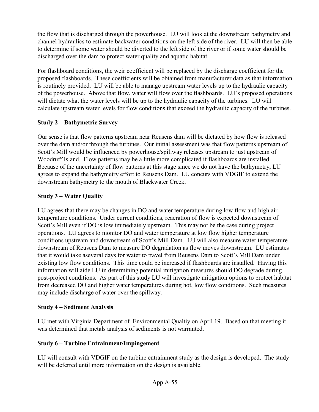the flow that is discharged through the powerhouse. LU will look at the downstream bathymetry and channel hydraulics to estimate backwater conditions on the left side of the river. LU will then be able to determine if some water should be diverted to the left side of the river or if some water should be discharged over the dam to protect water quality and aquatic habitat.

For flashboard conditions, the weir coefficient will be replaced by the discharge coefficient for the proposed flashboards. These coefficients will be obtained from manufacturer data as that information is routinely provided. LU will be able to manage upstream water levels up to the hydraulic capacity of the powerhouse. Above that flow, water will flow over the flashboards. LU's proposed operations will dictate what the water levels will be up to the hydraulic capacity of the turbines. LU will calculate upstream water levels for flow conditions that exceed the hydraulic capacity of the turbines.

# **Study 2 – Bathymetric Survey**

Our sense is that flow patterns upstream near Reusens dam will be dictated by how flow is released over the dam and/or through the turbines. Our initial assessment was that flow patterns upstream of Scott's Mill would be influenced by powerhouse/spillway releases upstream to just upstream of Woodruff Island. Flow patterns may be a little more complicated if flashboards are installed. Because of the uncertainty of flow patterns at this stage since we do not have the bathymetry, LU agrees to expand the bathymetry effort to Reusens Dam. LU concurs with VDGIF to extend the downstream bathymetry to the mouth of Blackwater Creek.

# **Study 3 – Water Quality**

LU agrees that there may be changes in DO and water temperature during low flow and high air temperature conditions. Under current conditions, reaeration of flow is expected downstream of Scott's Mill even if DO is low immediately upstream. This may not be the case during project operations. LU agrees to monitor DO and water temperature at low flow higher temperature conditions upstream and downstream of Scott's Mill Dam. LU will also measure water temperature downstream of Reusens Dam to measure DO degradation as flow moves downstream. LU estimates that it would take aseveral days for water to travel from Reusens Dam to Scott's Mill Dam under existing low flow conditions. This time could be increased if flashboards are installed. Having this information will aide LU in determining potential mitigation measures should DO degrade during post-project conditions. As part of this study LU will investigate mitigation options to protect habitat from decreased DO and higher water temperatures during hot, low flow conditions. Such measures may include discharge of water over the spillway.

# **Study 4 – Sediment Analysis**

LU met with Virginia Department of Environmental Qualtiy on April 19. Based on that meeting it was determined that metals analysis of sediments is not warranted.

# **Study 6 – Turbine Entrainment/Impingement**

LU will consult with VDGIF on the turbine entrainment study as the design is developed. The study will be deferred until more information on the design is available.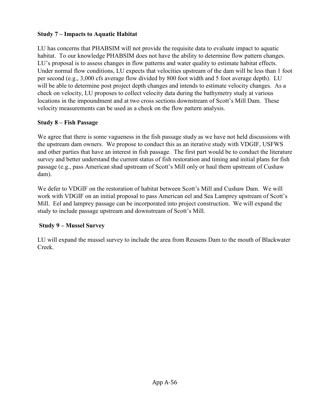# **Study 7 – Impacts to Aquatic Habitat**

LU has concerns that PHABSIM will not provide the requisite data to evaluate impact to aquatic habitat. To our knowledge PHABSIM does not have the ability to determine flow pattern changes. LU's proposal is to assess changes in flow patterns and water quality to estimate habitat effects. Under normal flow conditions, LU expects that velocities upstream of the dam will be less than 1 foot per second (e.g., 3,000 cfs average flow divided by 800 foot width and 5 foot average depth). LU will be able to determine post project depth changes and intends to estimate velocity changes. As a check on velocity, LU proposes to collect velocity data during the bathymetry study at various locations in the impoundment and at two cross sections downstream of Scott's Mill Dam. These velocity measurements can be used as a check on the flow pattern analysis.

# **Study 8 – Fish Passage**

We agree that there is some vagueness in the fish passage study as we have not held discussions with the upstream dam owners. We propose to conduct this as an iterative study with VDGIF, USFWS and other parties that have an interest in fish passage. The first part would be to conduct the literature survey and better understand the current status of fish restoration and timing and initial plans for fish passage (e.g., pass American shad upstream of Scott's Mill only or haul them upstream of Cushaw dam).

We defer to VDGIF on the restoration of habitat between Scott's Mill and Cushaw Dam. We will work with VDGIF on an initial proposal to pass American eel and Sea Lamprey upstream of Scott's Mill. Eel and lamprey passage can be incorporated into project construction. We will expand the study to include passage upstream and downstream of Scott's Mill.

# **Study 9 – Mussel Survey**

LU will expand the mussel survey to include the area from Reusens Dam to the mouth of Blackwater Creek.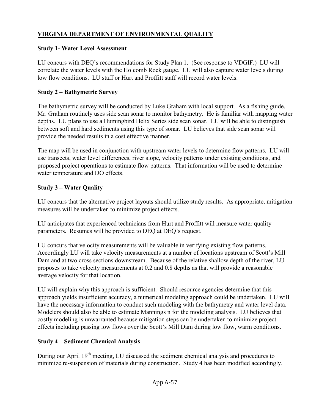# **VIRGINIA DEPARTMENT OF ENVIRONMENTAL QUALITY**

# **Study 1- Water Level Assessment**

LU concurs with DEQ's recommendations for Study Plan 1. (See response to VDGIF.) LU will correlate the water levels with the Holcomb Rock gauge. LU will also capture water levels during low flow conditions. LU staff or Hurt and Proffitt staff will record water levels.

# **Study 2 – Bathymetric Survey**

The bathymetric survey will be conducted by Luke Graham with local support. As a fishing guide, Mr. Graham routinely uses side scan sonar to monitor bathymetry. He is familiar with mapping water depths. LU plans to use a Humingbird Helix Series side scan sonar. LU will be able to distinguish between soft and hard sediments using this type of sonar. LU believes that side scan sonar will provide the needed results in a cost effective manner.

The map will be used in conjunction with upstream water levels to determine flow patterns. LU will use transects, water level differences, river slope, velocity patterns under existing conditions, and proposed project operations to estimate flow patterns. That information will be used to determine water temperature and DO effects.

# **Study 3 – Water Quality**

LU concurs that the alternative project layouts should utilize study results. As appropriate, mitigation measures will be undertaken to minimize project effects.

LU anticipates that experienced technicians from Hurt and Proffitt will measure water quality parameters. Resumes will be provided to DEQ at DEQ's request.

LU concurs that velocity measurements will be valuable in verifying existing flow patterns. Accordingly LU will take velocity measurements at a number of locations upstream of Scott's Mill Dam and at two cross sections downstream. Because of the relative shallow depth of the river, LU proposes to take velocity measurements at 0.2 and 0.8 depths as that will provide a reasonable average velocity for that location.

LU will explain why this approach is sufficient. Should resource agencies determine that this approach yields insufficient accuracy, a numerical modeling approach could be undertaken. LU will have the necessary information to conduct such modeling with the bathymetry and water level data. Modelers should also be able to estimate Mannings n for the modeling analysis. LU believes that costly modeling is unwarranted because mitigation steps can be undertaken to minimize project effects including passing low flows over the Scott's Mill Dam during low flow, warm conditions.

# **Study 4 – Sediment Chemical Analysis**

During our April 19<sup>th</sup> meeting, LU discussed the sediment chemical analysis and procedures to minimize re-suspension of materials during construction. Study 4 has been modified accordingly.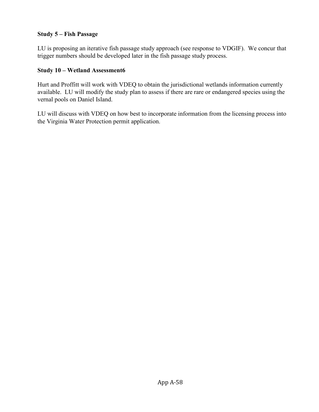#### **Study 5 – Fish Passage**

LU is proposing an iterative fish passage study approach (see response to VDGIF). We concur that trigger numbers should be developed later in the fish passage study process.

#### **Study 10 – Wetland Assessment6**

Hurt and Proffitt will work with VDEQ to obtain the jurisdictional wetlands information currently available. LU will modify the study plan to assess if there are rare or endangered species using the vernal pools on Daniel Island.

LU will discuss with VDEQ on how best to incorporate information from the licensing process into the Virginia Water Protection permit application.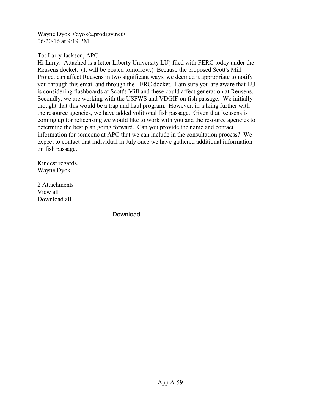[Wayne Dyok <dyok@prodigy.net>](mailto:Wayne%20Dyok%20%3cdyok@prodigy.net%3e) 06/20/16 at 9:19 PM

To: Larry Jackson, APC

Hi Larry. Attached is a letter Liberty University LU) filed with FERC today under the Reusens docket. (It will be posted tomorrow.) Because the proposed Scott's Mill Project can affect Reusens in two significant ways, we deemed it appropriate to notify you through this email and through the FERC docket. I am sure you are aware that LU is considering flashboards at Scott's Mill and these could affect generation at Reusens. Secondly, we are working with the USFWS and VDGIF on fish passage. We initially thought that this would be a trap and haul program. However, in talking further with the resource agencies, we have added volitional fish passage. Given that Reusens is coming up for relicensing we would like to work with you and the resource agencies to determine the best plan going forward. Can you provide the name and contact information for someone at APC that we can include in the consultation process? We expect to contact that individual in July once we have gathered additional information on fish passage.

Kindest regards, Wayne Dyok

2 Attachments View all Download all

Download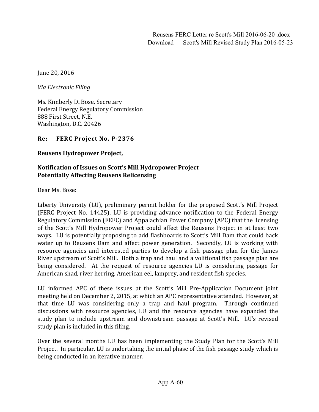June 20, 2016

*Via Electronic Filing*

Ms. Kimberly D**.** Bose, Secretary Federal Energy Regulatory Commission 888 First Street, N.E. Washington, D.C. 20426

**Re: FERC Project No. P-2376**

**Reusens Hydropower Project,** 

#### **Notification of Issues on Scott's Mill Hydropower Project Potentially Affecting Reusens Relicensing**

Dear Ms. Bose:

Liberty University (LU), preliminary permit holder for the proposed Scott's Mill Project (FERC Project No. 14425), LU is providing advance notification to the Federal Energy Regulatory Commission (FEFC) and Appalachian Power Company (APC) that the licensing of the Scott's Mill Hydropower Project could affect the Reusens Project in at least two ways. LU is potentially proposing to add flashboards to Scott's Mill Dam that could back water up to Reusens Dam and affect power generation. Secondly, LU is working with resource agencies and interested parties to develop a fish passage plan for the James River upstream of Scott's Mill. Both a trap and haul and a volitional fish passage plan are being considered. At the request of resource agencies LU is considering passage for American shad, river herring, American eel, lamprey, and resident fish species.

LU informed APC of these issues at the Scott's Mill Pre-Application Document joint meeting held on December 2, 2015, at which an APC representative attended. However, at that time LU was considering only a trap and haul program. Through continued discussions with resource agencies, LU and the resource agencies have expanded the study plan to include upstream and downstream passage at Scott's Mill. LU's revised study plan is included in this filing.

Over the several months LU has been implementing the Study Plan for the Scott's Mill Project. In particular, LU is undertaking the initial phase of the fish passage study which is being conducted in an iterative manner.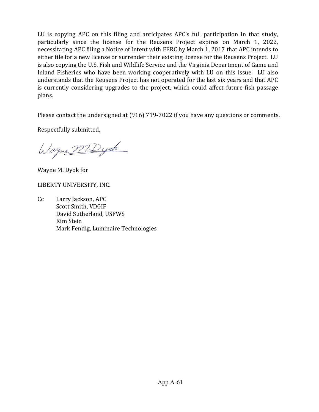LU is copying APC on this filing and anticipates APC's full participation in that study, particularly since the license for the Reusens Project expires on March 1, 2022, necessitating APC filing a Notice of Intent with FERC by March 1, 2017 that APC intends to either file for a new license or surrender their existing license for the Reusens Project. LU is also copying the U.S. Fish and Wildlife Service and the Virginia Department of Game and Inland Fisheries who have been working cooperatively with LU on this issue. LU also understands that the Reusens Project has not operated for the last six years and that APC is currently considering upgrades to the project, which could affect future fish passage plans.

Please contact the undersigned at (916) 719-7022 if you have any questions or comments.

Respectfully submitted,

Wayne MD yok

Wayne M. Dyok for

LIBERTY UNIVERSITY, INC.

Cc Larry Jackson, APC Scott Smith, VDGIF David Sutherland, USFWS Kim Stein Mark Fendig, Luminaire Technologies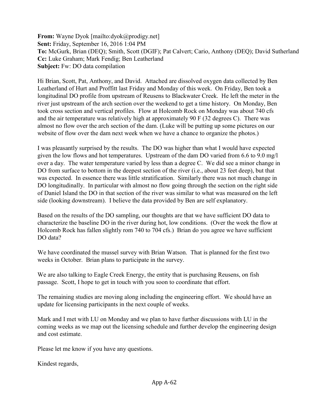**From:** Wayne Dyok [\[mailto:dyok@prodigy.net\]](mailto:dyok@prodigy.net) **Sent:** Friday, September 16, 2016 1:04 PM **To:** McGurk, Brian (DEQ); Smith, Scott (DGIF); Pat Calvert; Cario, Anthony (DEQ); David Sutherland **Cc:** Luke Graham; Mark Fendig; Ben Leatherland **Subject:** Fw: DO data compilation

Hi Brian, Scott, Pat, Anthony, and David. Attached are dissolved oxygen data collected by Ben Leatherland of Hurt and Proffitt last Friday and Monday of this week. On Friday, Ben took a longitudinal DO profile from upstream of Reusens to Blackwater Creek. He left the meter in the river just upstream of the arch section over the weekend to get a time history. On Monday, Ben took cross section and vertical profiles. Flow at Holcomb Rock on Monday was about 740 cfs and the air temperature was relatively high at approximately 90 F (32 degrees C). There was almost no flow over the arch section of the dam. (Luke will be putting up some pictures on our website of flow over the dam next week when we have a chance to organize the photos.)

I was pleasantly surprised by the results. The DO was higher than what I would have expected given the low flows and hot temperatures. Upstream of the dam DO varied from 6.6 to 9.0 mg/l over a day. The water temperature varied by less than a degree C. We did see a minor change in DO from surface to bottom in the deepest section of the river (i.e., about 23 feet deep), but that was expected. In essence there was little stratification. Similarly there was not much change in DO longitudinally. In particular with almost no flow going through the section on the right side of Daniel Island the DO in that section of the river was similar to what was measured on the left side (looking downstream). I believe the data provided by Ben are self explanatory.

Based on the results of the DO sampling, our thoughts are that we have sufficient DO data to characterize the baseline DO in the river during hot, low conditions. (Over the week the flow at Holcomb Rock has fallen slightly rom 740 to 704 cfs.) Brian do you agree we have sufficient DO data?

We have coordinated the mussel survey with Brian Watson. That is planned for the first two weeks in October. Brian plans to participate in the survey.

We are also talking to Eagle Creek Energy, the entity that is purchasing Reusens, on fish passage. Scott, I hope to get in touch with you soon to coordinate that effort.

The remaining studies are moving along including the engineering effort. We should have an update for licensing participants in the next couple of weeks.

Mark and I met with LU on Monday and we plan to have further discussions with LU in the coming weeks as we map out the licensing schedule and further develop the engineering design and cost estimate.

Please let me know if you have any questions.

Kindest regards,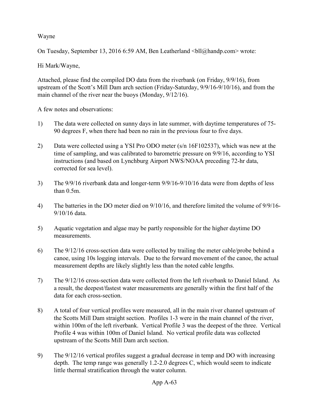Wayne

On Tuesday, September 13, 2016 6:59 AM, Ben Leatherland <br/>  $\text{Coll@handp.com}$  wrote:

Hi Mark/Wayne,

Attached, please find the compiled DO data from the riverbank (on Friday, 9/9/16), from upstream of the Scott's Mill Dam arch section (Friday-Saturday, 9/9/16-9/10/16), and from the main channel of the river near the buoys (Monday, 9/12/16).

A few notes and observations:

- 1) The data were collected on sunny days in late summer, with daytime temperatures of 75- 90 degrees F, when there had been no rain in the previous four to five days.
- 2) Data were collected using a YSI Pro ODO meter (s/n 16F102537), which was new at the time of sampling, and was calibrated to barometric pressure on 9/9/16, according to YSI instructions (and based on Lynchburg Airport NWS/NOAA preceding 72-hr data, corrected for sea level).
- 3) The 9/9/16 riverbank data and longer-term 9/9/16-9/10/16 data were from depths of less than 0.5m.
- 4) The batteries in the DO meter died on 9/10/16, and therefore limited the volume of 9/9/16- 9/10/16 data.
- 5) Aquatic vegetation and algae may be partly responsible for the higher daytime DO measurements.
- 6) The 9/12/16 cross-section data were collected by trailing the meter cable/probe behind a canoe, using 10s logging intervals. Due to the forward movement of the canoe, the actual measurement depths are likely slightly less than the noted cable lengths.
- 7) The 9/12/16 cross-section data were collected from the left riverbank to Daniel Island. As a result, the deepest/fastest water measurements are generally within the first half of the data for each cross-section.
- 8) A total of four vertical profiles were measured, all in the main river channel upstream of the Scotts Mill Dam straight section. Profiles 1-3 were in the main channel of the river, within 100m of the left riverbank. Vertical Profile 3 was the deepest of the three. Vertical Profile 4 was within 100m of Daniel Island. No vertical profile data was collected upstream of the Scotts Mill Dam arch section.
- 9) The 9/12/16 vertical profiles suggest a gradual decrease in temp and DO with increasing depth. The temp range was generally 1.2-2.0 degrees C, which would seem to indicate little thermal stratification through the water column.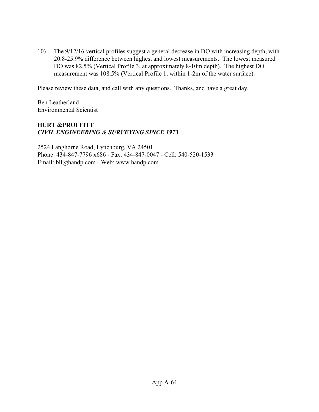10) The 9/12/16 vertical profiles suggest a general decrease in DO with increasing depth, with 20.8-25.9% difference between highest and lowest measurements. The lowest measured DO was 82.5% (Vertical Profile 3, at approximately 8-10m depth). The highest DO measurement was 108.5% (Vertical Profile 1, within 1-2m of the water surface).

Please review these data, and call with any questions. Thanks, and have a great day.

Ben Leatherland Environmental Scientist

# **HURT &PROFFITT** *CIVIL ENGINEERING & SURVEYING SINCE 1973*

2524 Langhorne Road, Lynchburg, VA 24501 Phone: 434-847-7796 x686 - Fax: 434-847-0047 - Cell: 540-520-1533 Email: [bll@handp.com](mailto:bll@handp.com) - Web: [www.handp.com](http://www.handp.com/)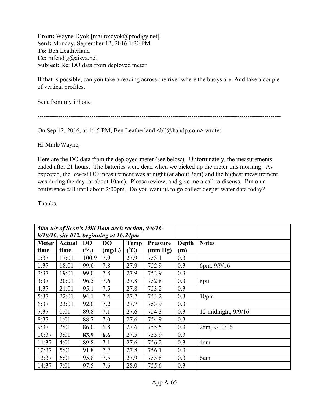**From:** Wayne Dyok [\[mailto:dyok@prodigy.net\]](mailto:dyok@prodigy.net) **Sent:** Monday, September 12, 2016 1:20 PM **To:** Ben Leatherland **Cc:** [mfendig@aisva.net](mailto:mfendig@aisva.net) **Subject:** Re: DO data from deployed meter

If that is possible, can you take a reading across the river where the buoys are. And take a couple of vertical profiles.

Sent from my iPhone

---------------------------------------------------------------------------------------------------------------------

On Sep 12, 2016, at 1:15 PM, Ben Leatherland  $\frac{\text{b}ll(\partial \theta)$  handp.com > wrote:

Hi Mark/Wayne,

Here are the DO data from the deployed meter (see below). Unfortunately, the measurements ended after 21 hours. The batteries were dead when we picked up the meter this morning. As expected, the lowest DO measurement was at night (at about 3am) and the highest measurement was during the day (at about 10am). Please review, and give me a call to discuss. I'm on a conference call until about 2:00pm. Do you want us to go collect deeper water data today?

Thanks.

|              |               |               | 50m u/s of Scott's Mill Dam arch section, 9/9/16-<br>$9/10/16$ , site 012, beginning at 16:24pm |           |                 |       |                     |
|--------------|---------------|---------------|-------------------------------------------------------------------------------------------------|-----------|-----------------|-------|---------------------|
| <b>Meter</b> | <b>Actual</b> | <b>DO</b>     | D <sub>O</sub>                                                                                  | Temp      | <b>Pressure</b> | Depth | <b>Notes</b>        |
| time         | time          | $\frac{9}{6}$ | (mg/L)                                                                                          | $(^{0}C)$ | (mm Hg)         | (m)   |                     |
| 0:37         | 17:01         | 100.9         | 7.9                                                                                             | 27.9      | 753.1           | 0.3   |                     |
| 1:37         | 18:01         | 99.6          | 7.8                                                                                             | 27.9      | 752.9           | 0.3   | 6pm, $9/9/16$       |
| 2:37         | 19:01         | 99.0          | 7.8                                                                                             | 27.9      | 752.9           | 0.3   |                     |
| 3:37         | 20:01         | 96.5          | 7.6                                                                                             | 27.8      | 752.8           | 0.3   | 8pm                 |
| 4:37         | 21:01         | 95.1          | 7.5                                                                                             | 27.8      | 753.2           | 0.3   |                     |
| 5:37         | 22:01         | 94.1          | 7.4                                                                                             | 27.7      | 753.2           | 0.3   | 10 <sub>pm</sub>    |
| 6:37         | 23:01         | 92.0          | 7.2                                                                                             | 27.7      | 753.9           | 0.3   |                     |
| 7:37         | 0:01          | 89.8          | 7.1                                                                                             | 27.6      | 754.3           | 0.3   | 12 midnight, 9/9/16 |
| 8:37         | 1:01          | 88.7          | 7.0                                                                                             | 27.6      | 754.9           | 0.3   |                     |
| 9:37         | 2:01          | 86.0          | 6.8                                                                                             | 27.6      | 755.5           | 0.3   | 2am, 9/10/16        |
| 10:37        | 3:01          | 83.9          | 6.6                                                                                             | 27.5      | 755.9           | 0.3   |                     |
| 11:37        | 4:01          | 89.8          | 7.1                                                                                             | 27.6      | 756.2           | 0.3   | 4am                 |
| 12:37        | 5:01          | 91.8          | 7.2                                                                                             | 27.8      | 756.1           | 0.3   |                     |
| 13:37        | 6:01          | 95.8          | 7.5                                                                                             | 27.9      | 755.8           | 0.3   | 6am                 |
| 14:37        | 7:01          | 97.5          | 7.6                                                                                             | 28.0      | 755.6           | 0.3   |                     |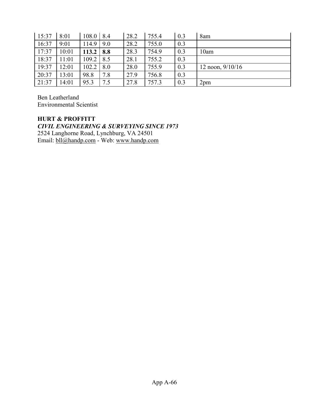| 15:37 | 8:01  | $108.0$   8.4 |     | 28.2 | 755.4 | 0.3 | 8am                |
|-------|-------|---------------|-----|------|-------|-----|--------------------|
| 16:37 | 9:01  | 114.9         | 9.0 | 28.2 | 755.0 | 0.3 |                    |
| 17:37 | 10:01 | 113.2         | 8.8 | 28.3 | 754.9 | 0.3 | 10am               |
| 18:37 | 11:01 | 109.2         | 8.5 | 28.1 | 755.2 | 0.3 |                    |
| 19:37 | 12:01 | 102.2         | 8.0 | 28.0 | 755.9 | 0.3 | 12 noon, $9/10/16$ |
| 20:37 | 13:01 | 98.8          | 7.8 | 27.9 | 756.8 | 0.3 |                    |
| 21:37 | 14:01 | 95.3          | 7.5 | 27.8 | 757.3 | 0.3 | 2 <sub>pm</sub>    |

Ben Leatherland Environmental Scientist

**HURT & PROFFITT** *CIVIL ENGINEERING & SURVEYING SINCE 1973* 2524 Langhorne Road, Lynchburg, VA 24501 Email: [bll@handp.com](mailto:bll@handp.com) - Web: [www.handp.com](http://www.handp.com/)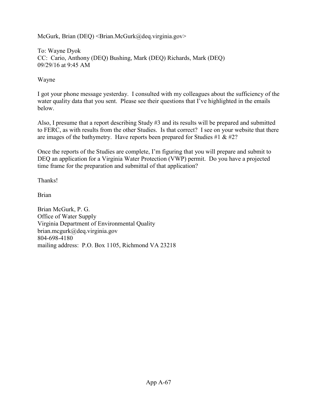McGurk, Brian (DEQ) < Brian.McGurk@deq.virginia.gov>

To: [Wayne Dyok](mailto:dyok@prodigy.net)  CC: [Cario, Anthony \(DEQ\)](mailto:Anthony.Cario@deq.virginia.gov) [Bushing, Mark \(DEQ\)](mailto:Anthony.Cario@deq.virginia.gov) [Richards, Mark \(DEQ\)](mailto:Mark.Richards@deq.virginia.gov) 09/29/16 at 9:45 AM

Wayne

I got your phone message yesterday. I consulted with my colleagues about the sufficiency of the water quality data that you sent. Please see their questions that I've highlighted in the emails below.

Also, I presume that a report describing Study #3 and its results will be prepared and submitted to FERC, as with results from the other Studies. Is that correct? I see on your website that there are images of the bathymetry. Have reports been prepared for Studies #1  $\&$  #2?

Once the reports of the Studies are complete, I'm figuring that you will prepare and submit to DEQ an application for a Virginia Water Protection (VWP) permit. Do you have a projected time frame for the preparation and submittal of that application?

Thanks!

Brian

Brian McGurk, P. G. Office of Water Supply Virginia Department of Environmental Quality brian.mcgurk@deq.virginia.gov 804-698-4180 mailing address: P.O. Box 1105, Richmond VA 23218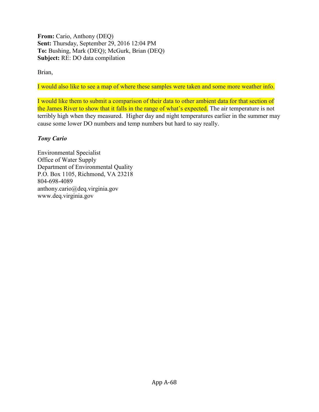**From:** Cario, Anthony (DEQ) **Sent:** Thursday, September 29, 2016 12:04 PM **To:** Bushing, Mark (DEQ); McGurk, Brian (DEQ) **Subject:** RE: DO data compilation

Brian,

I would also like to see a map of where these samples were taken and some more weather info.

I would like them to submit a comparison of their data to other ambient data for that section of the James River to show that it falls in the range of what's expected. The air temperature is not terribly high when they measured. Higher day and night temperatures earlier in the summer may cause some lower DO numbers and temp numbers but hard to say really.

# *Tony Cario*

Environmental Specialist Office of Water Supply Department of Environmental Quality P.O. Box 1105, Richmond, VA 23218 804-698-4089 [anthony.cario@deq.virginia.gov](mailto:anthony.cario@deq.virginia.gov) [www.deq.virginia.gov](http://www.deq.virginia.gov/)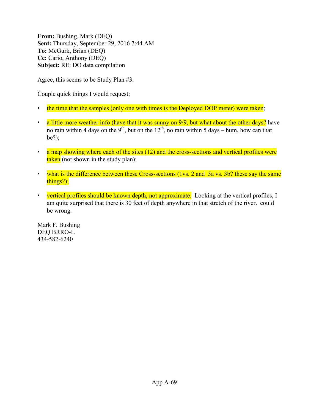**From:** Bushing, Mark (DEQ) **Sent:** Thursday, September 29, 2016 7:44 AM **To:** McGurk, Brian (DEQ) **Cc:** Cario, Anthony (DEQ) **Subject:** RE: DO data compilation

Agree, this seems to be Study Plan #3.

Couple quick things I would request;

- the time that the samples (only one with times is the Deployed DOP meter) were taken;
- a little more weather info (have that it was sunny on 9/9, but what about the other days? have no rain within 4 days on the 9<sup>th</sup>, but on the  $12<sup>th</sup>$ , no rain within 5 days – hum, how can that be?);
- $\cdot$  a map showing where each of the sites (12) and the cross-sections and vertical profiles were taken (not shown in the study plan);
- what is the difference between these Cross-sections (1vs. 2 and 3a vs. 3b? these say the same things?);
- vertical profiles should be known depth, not approximate. Looking at the vertical profiles, I am quite surprised that there is 30 feet of depth anywhere in that stretch of the river. could be wrong.

Mark F. Bushing DEQ BRRO-L 434-582-6240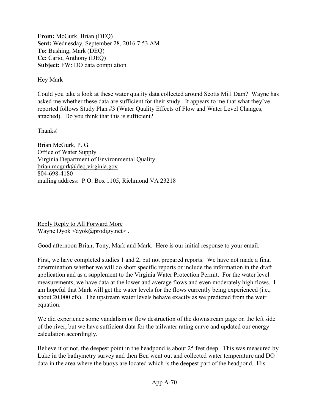**From:** McGurk, Brian (DEQ) **Sent:** Wednesday, September 28, 2016 7:53 AM **To:** Bushing, Mark (DEQ) **Cc:** Cario, Anthony (DEQ) **Subject:** FW: DO data compilation

Hey Mark

Could you take a look at these water quality data collected around Scotts Mill Dam? Wayne has asked me whether these data are sufficient for their study. It appears to me that what they've reported follows Study Plan #3 (Water Quality Effects of Flow and Water Level Changes, attached). Do you think that this is sufficient?

Thanks!

Brian McGurk, P. G. Office of Water Supply Virginia Department of Environmental Quality [brian.mcgurk@deq.virginia.gov](mailto:brian.mcgurk@deq.virginia.gov) 804-698-4180 mailing address: P.O. Box 1105, Richmond VA 23218

---------------------------------------------------------------------------------------------------------------------

[Reply Reply to All Forward More](https://mg.mail.yahoo.com/neo/launch?.partner=sbc&.rand=7qj0t234ih818)  Wayne Dyok  $\langle \text{dyok}(\hat{a}) \text{prodigy.net} \rangle$ .

Good afternoon Brian, Tony, Mark and Mark. Here is our initial response to your email.

First, we have completed studies 1 and 2, but not prepared reports. We have not made a final determination whether we will do short specific reports or include the information in the draft application and as a supplement to the Virginia Water Protection Permit. For the water level measurements, we have data at the lower and average flows and even moderately high flows. I am hopeful that Mark will get the water levels for the flows currently being experienced (i.e., about 20,000 cfs). The upstream water levels behave exactly as we predicted from the weir equation.

We did experience some vandalism or flow destruction of the downstream gage on the left side of the river, but we have sufficient data for the tailwater rating curve and updated our energy calculation accordingly.

Believe it or not, the deepest point in the headpond is about 25 feet deep. This was measured by Luke in the bathymetry survey and then Ben went out and collected water temperature and DO data in the area where the buoys are located which is the deepest part of the headpond. His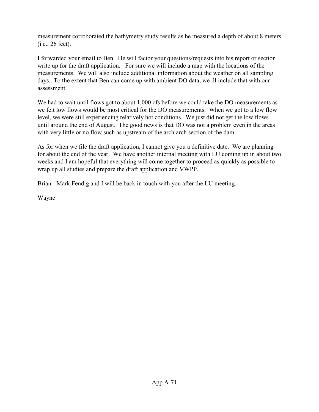measurement corroborated the bathymetry study results as he measured a depth of about 8 meters (i.e., 26 feet).

I forwarded your email to Ben. He will factor your questions/requests into his report or section write up for the draft application. For sure we will include a map with the locations of the measurements. We will also include additional information about the weather on all sampling days. To the extent that Ben can come up with ambient DO data, we ill include that with our assessment.

We had to wait until flows got to about 1,000 cfs before we could take the DO measurements as we felt low flows would be most critical for the DO measurements. When we got to a low flow level, we were still experiencing relatively hot conditions. We just did not get the low flows until around the end of August. The good news is that DO was not a problem even in the areas with very little or no flow such as upstream of the arch arch section of the dam.

As for when we file the draft application, I cannot give you a definitive date. We are planning for about the end of the year. We have another internal meeting with LU coming up in about two weeks and I am hopeful that everything will come together to proceed as quickly as possible to wrap up all studies and prepare the draft application and VWPP.

Brian - Mark Fendig and I will be back in touch with you after the LU meeting.

Wayne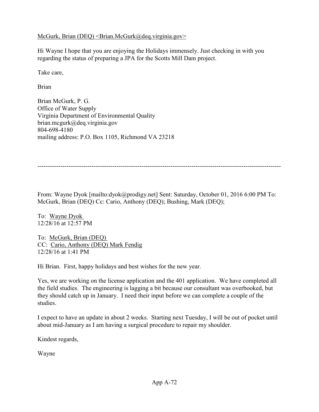McGurk, Brian (DEQ) < Brian.McGurk@deq.virginia.gov>

Hi Wayne I hope that you are enjoying the Holidays immensely. Just checking in with you regarding the status of preparing a JPA for the Scotts Mill Dam project.

Take care,

Brian

Brian McGurk, P. G. Office of Water Supply Virginia Department of Environmental Quality brian.mcgurk@deq.virginia.gov 804-698-4180 mailing address: P.O. Box 1105, Richmond VA 23218

---------------------------------------------------------------------------------------------------------------------

From: Wayne Dyok [mailto:dyok@prodigy.net] Sent: Saturday, October 01, 2016 6:00 PM To: McGurk, Brian (DEQ) Cc: Cario, Anthony (DEQ); Bushing, Mark (DEQ);

To: [Wayne Dyok](mailto:)  12/28/16 at 12:57 PM

To: [McGurk, Brian \(DEQ\)](mailto:Brian.McGurk@deq.virginia.gov)  CC: [Cario, Anthony \(DEQ\) Mark Fendig](mailto:Anthony.Cario@deq.virginia.gov)  12/28/16 at 1:41 PM

Hi Brian. First, happy holidays and best wishes for the new year.

Yes, we are working on the license application and the 401 application. We have completed all the field studies. The engineering is lagging a bit because our consultant was overbooked, but they should catch up in January. I need their input before we can complete a couple of the studies.

I expect to have an update in about 2 weeks. Starting next Tuesday, I will be out of pocket until about mid-January as I am having a surgical procedure to repair my shoulder.

Kindest regards,

Wayne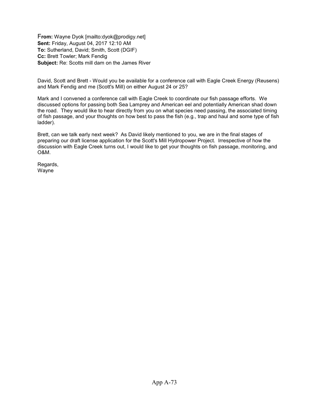F**rom:** Wayne Dyok [mailto:dyok@prodigy.net] **Sent:** Friday, August 04, 2017 12:10 AM **To:** Sutherland, David; Smith, Scott (DGIF) **Cc:** Brett Towler; Mark Fendig **Subject:** Re: Scotts mill dam on the James River

David, Scott and Brett - Would you be available for a conference call with Eagle Creek Energy (Reusens) and Mark Fendig and me (Scott's Mill) on either August 24 or 25?

Mark and I convened a conference call with Eagle Creek to coordinate our fish passage efforts. We discussed options for passing both Sea Lamprey and American eel and potentially American shad down the road. They would like to hear directly from you on what species need passing, the associated timing of fish passage, and your thoughts on how best to pass the fish (e.g., trap and haul and some type of fish ladder).

Brett, can we talk early next week? As David likely mentioned to you, we are in the final stages of preparing our draft license application for the Scott's Mill Hydropower Project. Irrespective of how the discussion with Eagle Creek turns out, I would like to get your thoughts on fish passage, monitoring, and O&M.

Regards, Wayne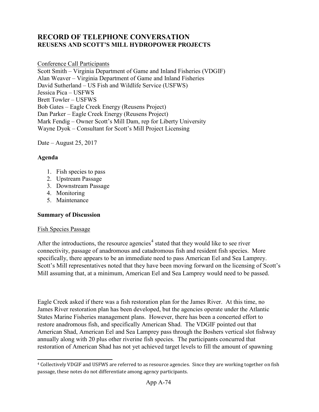## **RECORD OF TELEPHONE CONVERSATION REUSENS AND SCOTT'S MILL HYDROPOWER PROJECTS**

#### Conference Call Participants

Scott Smith – Virginia Department of Game and Inland Fisheries (VDGIF) Alan Weaver – Virginia Department of Game and Inland Fisheries David Sutherland – US Fish and Wildlife Service (USFWS) Jessica Pica – USFWS Brett Towler – USFWS Bob Gates – Eagle Creek Energy (Reusens Project) Dan Parker – Eagle Creek Energy (Reusens Project) Mark Fendig – Owner Scott's Mill Dam, rep for Liberty University Wayne Dyok – Consultant for Scott's Mill Project Licensing

Date – August 25, 2017

#### **Agenda**

- 1. Fish species to pass
- 2. Upstream Passage
- 3. Downstream Passage
- 4. Monitoring
- 5. Maintenance

#### **Summary of Discussion**

#### Fish Species Passage

After the introductions, the resource agencies<sup>[4](#page-0-0)</sup> stated that they would like to see river connectivity, passage of anadromous and catadromous fish and resident fish species. More specifically, there appears to be an immediate need to pass American Eel and Sea Lamprey. Scott's Mill representatives noted that they have been moving forward on the licensing of Scott's Mill assuming that, at a minimum, American Eel and Sea Lamprey would need to be passed.

Eagle Creek asked if there was a fish restoration plan for the James River. At this time, no James River restoration plan has been developed, but the agencies operate under the Atlantic States Marine Fisheries management plans. However, there has been a concerted effort to restore anadromous fish, and specifically American Shad. The VDGIF pointed out that American Shad, American Eel and Sea Lamprey pass through the Boshers vertical slot fishway annually along with 20 plus other riverine fish species. The participants concurred that restoration of American Shad has not yet achieved target levels to fill the amount of spawning

<sup>4</sup> Collectively VDGIF and USFWS are referred to as resource agencies. Since they are working together on fish passage, these notes do not differentiate among agency participants.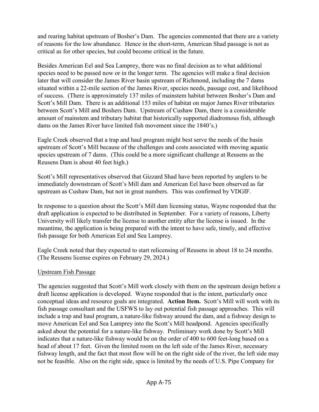and rearing habitat upstream of Bosher's Dam. The agencies commented that there are a variety of reasons for the low abundance. Hence in the short-term, American Shad passage is not as critical as for other species, but could become critical in the future.

Besides American Eel and Sea Lamprey, there was no final decision as to what additional species need to be passed now or in the longer term. The agencies will make a final decision later that will consider the James River basin upstream of Richmond, including the 7 dams situated within a 22-mile section of the James River, species needs, passage cost, and likelihood of success. (There is approximately 137 miles of mainstem habitat between Bosher's Dam and Scott's Mill Dam. There is an additional 153 miles of habitat on major James River tributaries between Scott's Mill and Boshers Dam. Upstream of Cushaw Dam, there is a considerable amount of mainstem and tributary habitat that historically supported diadromous fish, although dams on the James River have limited fish movement since the 1840's.)

Eagle Creek observed that a trap and haul program might best serve the needs of the basin upstream of Scott's Mill because of the challenges and costs associated with moving aquatic species upstream of 7 dams. (This could be a more significant challenge at Reusens as the Reusens Dam is about 40 feet high.)

Scott's Mill representatives observed that Gizzard Shad have been reported by anglers to be immediately downstream of Scott's Mill dam and American Eel have been observed as far upstream as Cushaw Dam, but not in great numbers. This was confirmed by VDGIF.

In response to a question about the Scott's Mill dam licensing status, Wayne responded that the draft application is expected to be distributed in September. For a variety of reasons, Liberty University will likely transfer the license to another entity after the license is issued. In the meantime, the application is being prepared with the intent to have safe, timely, and effective fish passage for both American Eel and Sea Lamprey.

Eagle Creek noted that they expected to start relicensing of Reusens in about 18 to 24 months. (The Reusens license expires on February 29, 2024.)

### Upstream Fish Passage

The agencies suggested that Scott's Mill work closely with them on the upstream design before a draft license application is developed. Wayne responded that is the intent, particularly once conceptual ideas and resource goals are integrated. **Action Item.** Scott's Mill will work with its fish passage consultant and the USFWS to lay out potential fish passage approaches. This will include a trap and haul program, a nature-like fishway around the dam, and a fishway design to move American Eel and Sea Lamprey into the Scott's Mill headpond. Agencies specifically asked about the potential for a nature-like fishway. Preliminary work done by Scott's Mill indicates that a nature-like fishway would be on the order of 400 to 600 feet-long based on a head of about 17 feet. Given the limited room on the left side of the James River, necessary fishway length, and the fact that most flow will be on the right side of the river, the left side may not be feasible. Also on the right side, space is limited by the needs of U.S. Pipe Company for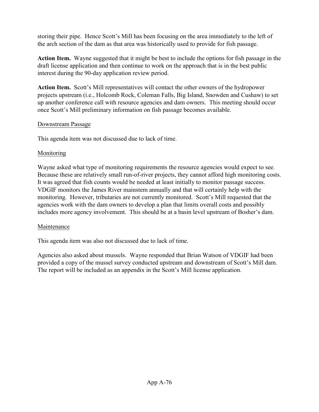storing their pipe. Hence Scott's Mill has been focusing on the area immediately to the left of the arch section of the dam as that area was historically used to provide for fish passage.

**Action Item.** Wayne suggested that it might be best to include the options for fish passage in the draft license application and then continue to work on the approach that is in the best public interest during the 90-day application review period.

**Action Item.** Scott's Mill representatives will contact the other owners of the hydropower projects upstream (i.e., Holcomb Rock, Coleman Falls, Big Island, Snowden and Cushaw) to set up another conference call with resource agencies and dam owners. This meeting should occur once Scott's Mill preliminary information on fish passage becomes available.

#### Downstream Passage

This agenda item was not discussed due to lack of time.

## Monitoring

Wayne asked what type of monitoring requirements the resource agencies would expect to see. Because these are relatively small run-of-river projects, they cannot afford high monitoring costs. It was agreed that fish counts would be needed at least initially to monitor passage success. VDGIF monitors the James River mainstem annually and that will certainly help with the monitoring. However, tributaries are not currently monitored. Scott's Mill requested that the agencies work with the dam owners to develop a plan that limits overall costs and possibly includes more agency involvement. This should be at a basin level upstream of Bosher's dam.

### Maintenance

This agenda item was also not discussed due to lack of time.

Agencies also asked about mussels. Wayne responded that Brian Watson of VDGIF had been provided a copy of the mussel survey conducted upstream and downstream of Scott's Mill dam. The report will be included as an appendix in the Scott's Mill license application.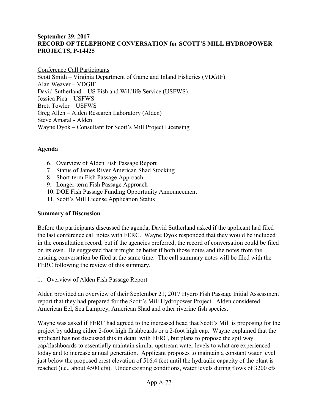#### **September 29. 2017 RECORD OF TELEPHONE CONVERSATION for SCOTT'S MILL HYDROPOWER PROJECTS, P-14425**

Conference Call Participants Scott Smith – Virginia Department of Game and Inland Fisheries (VDGIF) Alan Weaver – VDGIF David Sutherland – US Fish and Wildlife Service (USFWS) Jessica Pica – USFWS Brett Towler – USFWS Greg Allen – Alden Research Laboratory (Alden) Steve Amaral - Alden Wayne Dyok – Consultant for Scott's Mill Project Licensing

### **Agenda**

- 6. Overview of Alden Fish Passage Report
- 7. Status of James River American Shad Stocking
- 8. Short-term Fish Passage Approach
- 9. Longer-term Fish Passage Approach
- 10. DOE Fish Passage Funding Opportunity Announcement
- 11. Scott's Mill License Application Status

#### **Summary of Discussion**

Before the participants discussed the agenda, David Sutherland asked if the applicant had filed the last conference call notes with FERC. Wayne Dyok responded that they would be included in the consultation record, but if the agencies preferred, the record of conversation could be filed on its own. He suggested that it might be better if both those notes and the notes from the ensuing conversation be filed at the same time. The call summary notes will be filed with the FERC following the review of this summary.

1. Overview of Alden Fish Passage Report

Alden provided an overview of their September 21, 2017 Hydro Fish Passage Initial Assessment report that they had prepared for the Scott's Mill Hydropower Project. Alden considered American Eel, Sea Lamprey, American Shad and other riverine fish species.

Wayne was asked if FERC had agreed to the increased head that Scott's Mill is proposing for the project by adding either 2-foot high flashboards or a 2-foot high cap. Wayne explained that the applicant has not discussed this in detail with FERC, but plans to propose the spillway cap/flashboards to essentially maintain similar upstream water levels to what are experienced today and to increase annual generation. Applicant proposes to maintain a constant water level just below the proposed crest elevation of 516.4 feet until the hydraulic capacity of the plant is reached (i.e., about 4500 cfs). Under existing conditions, water levels during flows of 3200 cfs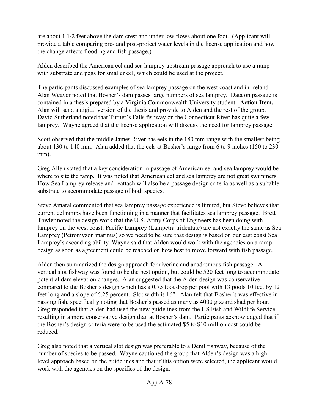are about 1 1/2 feet above the dam crest and under low flows about one foot. (Applicant will provide a table comparing pre- and post-project water levels in the license application and how the change affects flooding and fish passage.)

Alden described the American eel and sea lamprey upstream passage approach to use a ramp with substrate and pegs for smaller eel, which could be used at the project.

The participants discussed examples of sea lamprey passage on the west coast and in Ireland. Alan Weaver noted that Bosher's dam passes large numbers of sea lamprey. Data on passage is contained in a thesis prepared by a Virginia Commonwealth University student. **Action Item.** Alan will send a digital version of the thesis and provide to Alden and the rest of the group. David Sutherland noted that Turner's Falls fishway on the Connecticut River has quite a few lamprey. Wayne agreed that the license application will discuss the need for lamprey passage.

Scott observed that the middle James River has eels in the 180 mm range with the smallest being about 130 to 140 mm. Alan added that the eels at Bosher's range from 6 to 9 inches (150 to 230 mm).

Greg Allen stated that a key consideration in passage of American eel and sea lamprey would be where to site the ramp. It was noted that American eel and sea lamprey are not great swimmers. How Sea Lamprey release and reattach will also be a passage design criteria as well as a suitable substrate to accommodate passage of both species.

Steve Amaral commented that sea lamprey passage experience is limited, but Steve believes that current eel ramps have been functioning in a manner that facilitates sea lamprey passage. Brett Towler noted the design work that the U.S. Army Corps of Engineers has been doing with lamprey on the west coast. Pacific Lamprey (Lampetra tridentate) are not exactly the same as Sea Lamprey (Petromyzon marinus) so we need to be sure that design is based on our east coast Sea Lamprey's ascending ability. Wayne said that Alden would work with the agencies on a ramp design as soon as agreement could be reached on how best to move forward with fish passage.

Alden then summarized the design approach for riverine and anadromous fish passage. A vertical slot fishway was found to be the best option, but could be 520 feet long to accommodate potential dam elevation changes. Alan suggested that the Alden design was conservative compared to the Bosher's design which has a 0.75 foot drop per pool with 13 pools 10 feet by 12 feet long and a slope of 6.25 percent. Slot width is 16". Alan felt that Bosher's was effective in passing fish, specifically noting that Bosher's passed as many as 4000 gizzard shad per hour. Greg responded that Alden had used the new guidelines from the US Fish and Wildlife Service, resulting in a more conservative design than at Bosher's dam. Participants acknowledged that if the Bosher's design criteria were to be used the estimated \$5 to \$10 million cost could be reduced.

Greg also noted that a vertical slot design was preferable to a Denil fishway, because of the number of species to be passed. Wayne cautioned the group that Alden's design was a highlevel approach based on the guidelines and that if this option were selected, the applicant would work with the agencies on the specifics of the design.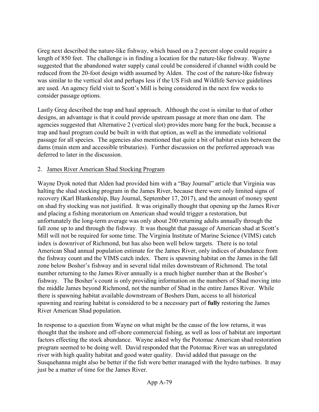Greg next described the nature-like fishway, which based on a 2 percent slope could require a length of 850 feet. The challenge is in finding a location for the nature-like fishway. Wayne suggested that the abandoned water supply canal could be considered if channel width could be reduced from the 20-foot design width assumed by Alden. The cost of the nature-like fishway was similar to the vertical slot and perhaps less if the US Fish and Wildlife Service guidelines are used. An agency field visit to Scott's Mill is being considered in the next few weeks to consider passage options.

Lastly Greg described the trap and haul approach. Although the cost is similar to that of other designs, an advantage is that it could provide upstream passage at more than one dam. The agencies suggested that Alternative 2 (vertical slot) provides more bang for the buck, because a trap and haul program could be built in with that option, as well as the immediate volitional passage for all species. The agencies also mentioned that quite a bit of habitat exists between the dams (main stem and accessible tributaries). Further discussion on the preferred approach was deferred to later in the discussion.

### 2. James River American Shad Stocking Program

Wayne Dyok noted that Alden had provided him with a "Bay Journal" article that Virginia was halting the shad stocking program in the James River, because there were only limited signs of recovery (Karl Blankenship, Bay Journal, September 17, 2017), and the amount of money spent on shad fry stocking was not justified. It was originally thought that opening up the James River and placing a fishing moratorium on American shad would trigger a restoration, but unfortunately the long-term average was only about 200 returning adults annually through the fall zone up to and through the fishway. It was thought that passage of American shad at Scott's Mill will not be required for some time. The Virginia Institute of Marine Science (VIMS) catch index is downriver of Richmond, but has also been well below targets. There is no total American Shad annual population estimate for the James River, only indices of abundance from the fishway count and the VIMS catch index. There is spawning habitat on the James in the fall zone below Bosher's fishway and in several tidal miles downstream of Richmond. The total number returning to the James River annually is a much higher number than at the Bosher's fishway. The Bosher's count is only providing information on the numbers of Shad moving into the middle James beyond Richmond, not the number of Shad in the entire James River. While there is spawning habitat available downstream of Boshers Dam, access to all historical spawning and rearing habitat is considered to be a necessary part of **fully** restoring the James River American Shad population.

In response to a question from Wayne on what might be the cause of the low returns, it was thought that the inshore and off-shore commercial fishing, as well as loss of habitat are important factors effecting the stock abundance. Wayne asked why the Potomac American shad restoration program seemed to be doing well. David responded that the Potomac River was an unregulated river with high quality habitat and good water quality. David added that passage on the Susquehanna might also be better if the fish were better managed with the hydro turbines. It may just be a matter of time for the James River.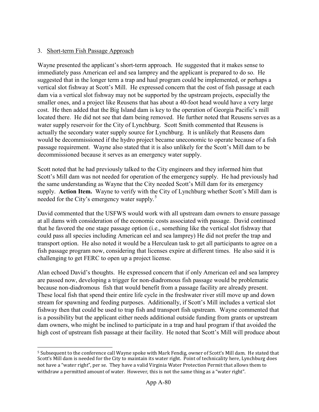### 3. Short-term Fish Passage Approach

Wayne presented the applicant's short-term approach. He suggested that it makes sense to immediately pass American eel and sea lamprey and the applicant is prepared to do so. He suggested that in the longer term a trap and haul program could be implemented, or perhaps a vertical slot fishway at Scott's Mill. He expressed concern that the cost of fish passage at each dam via a vertical slot fishway may not be supported by the upstream projects, especially the smaller ones, and a project like Reusens that has about a 40-foot head would have a very large cost. He then added that the Big Island dam is key to the operation of Georgia Pacific's mill located there. He did not see that dam being removed. He further noted that Reusens serves as a water supply reservoir for the City of Lynchburg. Scott Smith commented that Reusens is actually the secondary water supply source for Lynchburg. It is unlikely that Reusens dam would be decommissioned if the hydro project became uneconomic to operate because of a fish passage requirement. Wayne also stated that it is also unlikely for the Scott's Mill dam to be decommissioned because it serves as an emergency water supply.

Scott noted that he had previously talked to the City engineers and they informed him that Scott's Mill dam was not needed for operation of the emergency supply. He had previously had the same understanding as Wayne that the City needed Scott's Mill dam for its emergency supply. **Action Item.** Wayne to verify with the City of Lynchburg whether Scott's Mill dam is needed for the City's emergency water supply.<sup>[5](#page-0-1)</sup>

David commented that the USFWS would work with all upstream dam owners to ensure passage at all dams with consideration of the economic costs associated with passage. David continued that he favored the one stage passage option (i.e., something like the vertical slot fishway that could pass all species including American eel and sea lamprey) He did not prefer the trap and transport option. He also noted it would be a Herculean task to get all participants to agree on a fish passage program now, considering that licenses expire at different times. He also said it is challenging to get FERC to open up a project license.

Alan echoed David's thoughts. He expressed concern that if only American eel and sea lamprey are passed now, developing a trigger for non-diadromous fish passage would be problematic because non-diadromous fish that would benefit from a passage facility are already present. These local fish that spend their entire life cycle in the freshwater river still move up and down stream for spawning and feeding purposes. Additionally, if Scott's Mill includes a vertical slot fishway then that could be used to trap fish and transport fish upstream. Wayne commented that is a possibility but the applicant either needs additional outside funding from grants or upstream dam owners, who might be inclined to participate in a trap and haul program if that avoided the high cost of upstream fish passage at their facility. He noted that Scott's Mill will produce about

<sup>5</sup> Subsequent to the conference call Wayne spoke with Mark Fendig, owner of Scott's Mill dam. He stated that Scott's Mill dam is needed for the City to maintain its water right. Point of technicality here, Lynchburg does not have a "water right", per se. They have a valid Virginia Water Protection Permit that allows them to withdraw a permitted amount of water. However, this is not the same thing as a "water right".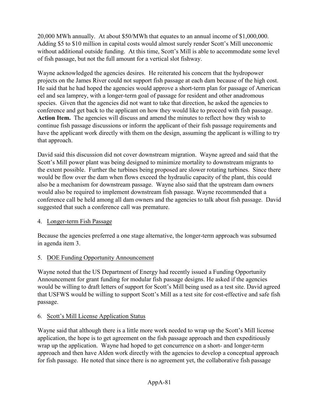20,000 MWh annually. At about \$50/MWh that equates to an annual income of \$1,000,000. Adding \$5 to \$10 million in capital costs would almost surely render Scott's Mill uneconomic without additional outside funding. At this time, Scott's Mill is able to accommodate some level of fish passage, but not the full amount for a vertical slot fishway.

Wayne acknowledged the agencies desires. He reiterated his concern that the hydropower projects on the James River could not support fish passage at each dam because of the high cost. He said that he had hoped the agencies would approve a short-term plan for passage of American eel and sea lamprey, with a longer-term goal of passage for resident and other anadromous species. Given that the agencies did not want to take that direction, he asked the agencies to conference and get back to the applicant on how they would like to proceed with fish passage. **Action Item.** The agencies will discuss and amend the minutes to reflect how they wish to continue fish passage discussions or inform the applicant of their fish passage requirements and have the applicant work directly with them on the design, assuming the applicant is willing to try that approach.

David said this discussion did not cover downstream migration. Wayne agreed and said that the Scott's Mill power plant was being designed to minimize mortality to downstream migrants to the extent possible. Further the turbines being proposed are slower rotating turbines. Since there would be flow over the dam when flows exceed the hydraulic capacity of the plant, this could also be a mechanism for downstream passage. Wayne also said that the upstream dam owners would also be required to implement downstream fish passage. Wayne recommended that a conference call be held among all dam owners and the agencies to talk about fish passage. David suggested that such a conference call was premature.

### 4. Longer-term Fish Passage

Because the agencies preferred a one stage alternative, the longer-term approach was subsumed in agenda item 3.

## 5. DOE Funding Opportunity Announcement

Wayne noted that the US Department of Energy had recently issued a Funding Opportunity Announcement for grant funding for modular fish passage designs. He asked if the agencies would be willing to draft letters of support for Scott's Mill being used as a test site. David agreed that USFWS would be willing to support Scott's Mill as a test site for cost-effective and safe fish passage.

## 6. Scott's Mill License Application Status

Wayne said that although there is a little more work needed to wrap up the Scott's Mill license application, the hope is to get agreement on the fish passage approach and then expeditiously wrap up the application. Wayne had hoped to get concurrence on a short- and longer-term approach and then have Alden work directly with the agencies to develop a conceptual approach for fish passage. He noted that since there is no agreement yet, the collaborative fish passage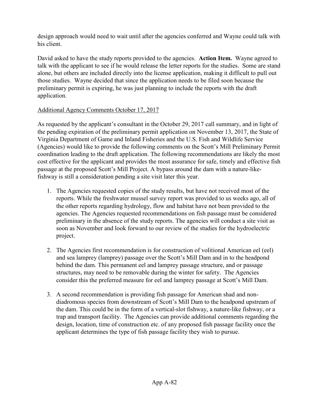design approach would need to wait until after the agencies conferred and Wayne could talk with his client.

David asked to have the study reports provided to the agencies. **Action Item.** Wayne agreed to talk with the applicant to see if he would release the letter reports for the studies. Some are stand alone, but others are included directly into the license application, making it difficult to pull out those studies. Wayne decided that since the application needs to be filed soon because the preliminary permit is expiring, he was just planning to include the reports with the draft application.

## Additional Agency Comments October 17, 2017

As requested by the applicant's consultant in the October 29, 2017 call summary, and in light of the pending expiration of the preliminary permit application on November 13, 2017, the State of Virginia Department of Game and Inland Fisheries and the U.S. Fish and Wildlife Service (Agencies) would like to provide the following comments on the Scott's Mill Preliminary Permit coordination leading to the draft application. The following recommendations are likely the most cost effective for the applicant and provides the most assurance for safe, timely and effective fish passage at the proposed Scott's Mill Project. A bypass around the dam with a nature-likefishway is still a consideration pending a site visit later this year.

- 1. The Agencies requested copies of the study results, but have not received most of the reports. While the freshwater mussel survey report was provided to us weeks ago, all of the other reports regarding hydrology, flow and habitat have not been provided to the agencies. The Agencies requested recommendations on fish passage must be considered preliminary in the absence of the study reports. The agencies will conduct a site visit as soon as November and look forward to our review of the studies for the hydroelectric project.
- 2. The Agencies first recommendation is for construction of volitional American eel (eel) and sea lamprey (lamprey) passage over the Scott's Mill Dam and in to the headpond behind the dam. This permanent eel and lamprey passage structure, and or passage structures, may need to be removable during the winter for safety. The Agencies consider this the preferred measure for eel and lamprey passage at Scott's Mill Dam.
- 3. A second recommendation is providing fish passage for American shad and nondiadromous species from downstream of Scott's Mill Dam to the headpond upstream of the dam. This could be in the form of a vertical-slot fishway, a nature-like fishway, or a trap and transport facility. The Agencies can provide additional comments regarding the design, location, time of construction etc. of any proposed fish passage facility once the applicant determines the type of fish passage facility they wish to pursue.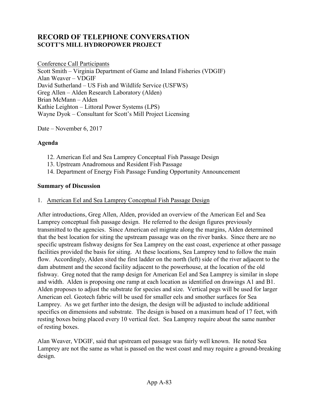## **RECORD OF TELEPHONE CONVERSATION SCOTT'S MILL HYDROPOWER PROJECT**

Conference Call Participants Scott Smith – Virginia Department of Game and Inland Fisheries (VDGIF) Alan Weaver – VDGIF David Sutherland – US Fish and Wildlife Service (USFWS) Greg Allen – Alden Research Laboratory (Alden) Brian McMann – Alden Kathie Leighton – Littoral Power Systems (LPS) Wayne Dyok – Consultant for Scott's Mill Project Licensing

Date – November 6, 2017

#### **Agenda**

- 12. American Eel and Sea Lamprey Conceptual Fish Passage Design
- 13. Upstream Anadromous and Resident Fish Passage
- 14. Department of Energy Fish Passage Funding Opportunity Announcement

#### **Summary of Discussion**

#### 1. American Eel and Sea Lamprey Conceptual Fish Passage Design

After introductions, Greg Allen, Alden, provided an overview of the American Eel and Sea Lamprey conceptual fish passage design. He referred to the design figures previously transmitted to the agencies. Since American eel migrate along the margins, Alden determined that the best location for siting the upstream passage was on the river banks. Since there are no specific upstream fishway designs for Sea Lamprey on the east coast, experience at other passage facilities provided the basis for siting. At these locations, Sea Lamprey tend to follow the main flow. Accordingly, Alden sited the first ladder on the north (left) side of the river adjacent to the dam abutment and the second facility adjacent to the powerhouse, at the location of the old fishway. Greg noted that the ramp design for American Eel and Sea Lamprey is similar in slope and width. Alden is proposing one ramp at each location as identified on drawings A1 and B1. Alden proposes to adjust the substrate for species and size. Vertical pegs will be used for larger American eel. Geotech fabric will be used for smaller eels and smother surfaces for Sea Lamprey. As we get further into the design, the design will be adjusted to include additional specifics on dimensions and substrate. The design is based on a maximum head of 17 feet, with resting boxes being placed every 10 vertical feet. Sea Lamprey require about the same number of resting boxes.

Alan Weaver, VDGIF, said that upstream eel passage was fairly well known. He noted Sea Lamprey are not the same as what is passed on the west coast and may require a ground-breaking design.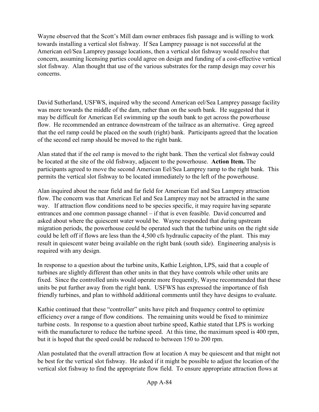Wayne observed that the Scott's Mill dam owner embraces fish passage and is willing to work towards installing a vertical slot fishway. If Sea Lamprey passage is not successful at the American eel/Sea Lamprey passage locations, then a vertical slot fishway would resolve that concern, assuming licensing parties could agree on design and funding of a cost-effective vertical slot fishway. Alan thought that use of the various substrates for the ramp design may cover his concerns.

David Sutherland, USFWS, inquired why the second American eel/Sea Lamprey passage facility was more towards the middle of the dam, rather than on the south bank. He suggested that it may be difficult for American Eel swimming up the south bank to get across the powerhouse flow. He recommended an entrance downstream of the tailrace as an alternative. Greg agreed that the eel ramp could be placed on the south (right) bank. Participants agreed that the location of the second eel ramp should be moved to the right bank.

Alan stated that if the eel ramp is moved to the right bank. Then the vertical slot fishway could be located at the site of the old fishway, adjacent to the powerhouse. **Action Item.** The participants agreed to move the second American Eel/Sea Lamprey ramp to the right bank. This permits the vertical slot fishway to be located immediately to the left of the powerhouse.

Alan inquired about the near field and far field for American Eel and Sea Lamprey attraction flow. The concern was that American Eel and Sea Lamprey may not be attracted in the same way. If attraction flow conditions need to be species specific, it may require having separate entrances and one common passage channel – if that is even feasible. David concurred and asked about where the quiescent water would be. Wayne responded that during upstream migration periods, the powerhouse could be operated such that the turbine units on the right side could be left off if flows are less than the 4,500 cfs hydraulic capacity of the plant. This may result in quiescent water being available on the right bank (south side). Engineering analysis is required with any design.

In response to a question about the turbine units, Kathie Leighton, LPS, said that a couple of turbines are slightly different than other units in that they have controls while other units are fixed. Since the controlled units would operate more frequently, Wayne recommended that these units be put further away from the right bank. USFWS has expressed the importance of fish friendly turbines, and plan to withhold additional comments until they have designs to evaluate.

Kathie continued that these "controller" units have pitch and frequency control to optimize efficiency over a range of flow conditions. The remaining units would be fixed to minimize turbine costs. In response to a question about turbine speed, Kathie stated that LPS is working with the manufacturer to reduce the turbine speed. At this time, the maximum speed is 400 rpm, but it is hoped that the speed could be reduced to between 150 to 200 rpm.

Alan postulated that the overall attraction flow at location A may be quiescent and that might not be best for the vertical slot fishway. He asked if it might be possible to adjust the location of the vertical slot fishway to find the appropriate flow field. To ensure appropriate attraction flows at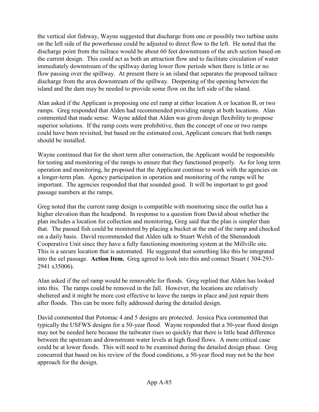the vertical slot fishway, Wayne suggested that discharge from one or possibly two turbine units on the left side of the powerhouse could be adjusted to direct flow to the left. He noted that the discharge point from the tailrace would be about 60 feet downstream of the arch section based on the current design. This could act as both an attraction flow and to facilitate circulation of water immediately downstream of the spillway during lower flow periods when there is little or no flow passing over the spillway. At present there is an island that separates the proposed tailrace discharge from the area downstream of the spillway. Deepening of the opening between the island and the dam may be needed to provide some flow on the left side of the island.

Alan asked if the Applicant is proposing one eel ramp at either location A or location B, or two ramps. Greg responded that Alden had recommended providing ramps at both locations. Alan commented that made sense. Wayne added that Alden was given design flexibility to propose superior solutions. If the ramp costs were prohibitive, then the concept of one or two ramps could have been revisited, but based on the estimated cost, Applicant concurs that both ramps should be installed.

Wayne continued that for the short term after construction, the Applicant would be responsible for testing and monitoring of the ramps to ensure that they functioned properly. As for long term operation and monitoring, he proposed that the Applicant continue to work with the agencies on a longer-term plan. Agency participation in operation and monitoring of the ramps will be important. The agencies responded that that sounded good. It will be important to get good passage numbers at the ramps.

Greg noted that the current ramp design is compatible with monitoring since the outlet has a higher elevation than the headpond. In response to a question from David about whether the plan includes a location for collection and monitoring, Greg said that the plan is simpler than that. The passed fish could be monitored by placing a bucket at the end of the ramp and checked on a daily basis. David recommended that Alden talk to Stuart Welsh of the Shenandoah Cooperative Unit since they have a fully functioning monitoring system at the Millville site. This is a secure location that is automated. He suggested that something like this be integrated into the eel passage. **Action Item.** Greg agreed to look into this and contact Stuart ( 304-293- 2941 x35006).

Alan asked if the eel ramp would be removable for floods. Greg replied that Alden has looked into this. The ramps could be removed in the fall. However, the locations are relatively sheltered and it might be more cost effective to leave the ramps in place and just repair them after floods. This can be more fully addressed during the detailed design.

David commented that Potomac 4 and 5 designs are protected. Jessica Pica commented that typically the USFWS designs for a 50-year flood. Wayne responded that a 50-year flood design may not be needed here because the tailwater rises so quickly that there is little head difference between the upstream and downstream water levels at high flood flows. A more critical case could be at lower floods. This will need to be examined during the detailed design phase. Greg concurred that based on his review of the flood conditions, a 50-year flood may not be the best approach for the design.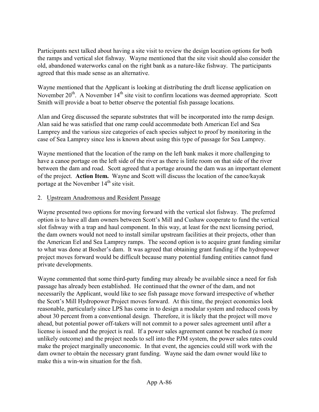Participants next talked about having a site visit to review the design location options for both the ramps and vertical slot fishway. Wayne mentioned that the site visit should also consider the old, abandoned waterworks canal on the right bank as a nature-like fishway. The participants agreed that this made sense as an alternative.

Wayne mentioned that the Applicant is looking at distributing the draft license application on November  $20^{th}$ . A November  $14^{th}$  site visit to confirm locations was deemed appropriate. Scott Smith will provide a boat to better observe the potential fish passage locations.

Alan and Greg discussed the separate substrates that will be incorporated into the ramp design. Alan said he was satisfied that one ramp could accommodate both American Eel and Sea Lamprey and the various size categories of each species subject to proof by monitoring in the case of Sea Lamprey since less is known about using this type of passage for Sea Lamprey.

Wayne mentioned that the location of the ramp on the left bank makes it more challenging to have a canoe portage on the left side of the river as there is little room on that side of the river between the dam and road. Scott agreed that a portage around the dam was an important element of the project. **Action Item.** Wayne and Scott will discuss the location of the canoe/kayak portage at the November  $14<sup>th</sup>$  site visit.

### 2. Upstream Anadromous and Resident Passage

Wayne presented two options for moving forward with the vertical slot fishway. The preferred option is to have all dam owners between Scott's Mill and Cushaw cooperate to fund the vertical slot fishway with a trap and haul component. In this way, at least for the next licensing period, the dam owners would not need to install similar upstream facilities at their projects, other than the American Eel and Sea Lamprey ramps. The second option is to acquire grant funding similar to what was done at Bosher's dam. It was agreed that obtaining grant funding if the hydropower project moves forward would be difficult because many potential funding entities cannot fund private developments.

Wayne commented that some third-party funding may already be available since a need for fish passage has already been established. He continued that the owner of the dam, and not necessarily the Applicant, would like to see fish passage move forward irrespective of whether the Scott's Mill Hydropower Project moves forward. At this time, the project economics look reasonable, particularly since LPS has come in to design a modular system and reduced costs by about 30 percent from a conventional design. Therefore, it is likely that the project will move ahead, but potential power off-takers will not commit to a power sales agreement until after a license is issued and the project is real. If a power sales agreement cannot be reached (a more unlikely outcome) and the project needs to sell into the PJM system, the power sales rates could make the project marginally uneconomic. In that event, the agencies could still work with the dam owner to obtain the necessary grant funding. Wayne said the dam owner would like to make this a win-win situation for the fish.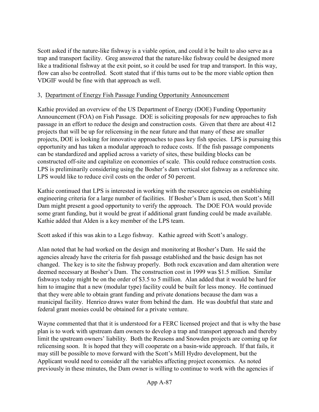Scott asked if the nature-like fishway is a viable option, and could it be built to also serve as a trap and transport facility. Greg answered that the nature-like fishway could be designed more like a traditional fishway at the exit point, so it could be used for trap and transport. In this way, flow can also be controlled. Scott stated that if this turns out to be the more viable option then VDGIF would be fine with that approach as well.

### 3, Department of Energy Fish Passage Funding Opportunity Announcement

Kathie provided an overview of the US Department of Energy (DOE) Funding Opportunity Announcement (FOA) on Fish Passage. DOE is soliciting proposals for new approaches to fish passage in an effort to reduce the design and construction costs. Given that there are about 412 projects that will be up for relicensing in the near future and that many of these are smaller projects, DOE is looking for innovative approaches to pass key fish species. LPS is pursuing this opportunity and has taken a modular approach to reduce costs. If the fish passage components can be standardized and applied across a variety of sites, these building blocks can be constructed off-site and capitalize on economies of scale. This could reduce construction costs. LPS is preliminarily considering using the Bosher's dam vertical slot fishway as a reference site. LPS would like to reduce civil costs on the order of 50 percent.

Kathie continued that LPS is interested in working with the resource agencies on establishing engineering criteria for a large number of facilities. If Bosher's Dam is used, then Scott's Mill Dam might present a good opportunity to verify the approach. The DOE FOA would provide some grant funding, but it would be great if additional grant funding could be made available. Kathie added that Alden is a key member of the LPS team.

Scott asked if this was akin to a Lego fishway. Kathie agreed with Scott's analogy.

Alan noted that he had worked on the design and monitoring at Bosher's Dam. He said the agencies already have the criteria for fish passage established and the basic design has not changed. The key is to site the fishway properly. Both rock excavation and dam alteration were deemed necessary at Bosher's Dam. The construction cost in 1999 was \$1.5 million. Similar fishways today might be on the order of \$3.5 to 5 million. Alan added that it would be hard for him to imagine that a new (modular type) facility could be built for less money. He continued that they were able to obtain grant funding and private donations because the dam was a municipal facility. Henrico draws water from behind the dam. He was doubtful that state and federal grant monies could be obtained for a private venture.

Wayne commented that that it is understood for a FERC licensed project and that is why the base plan is to work with upstream dam owners to develop a trap and transport approach and thereby limit the upstream owners' liability. Both the Reusens and Snowden projects are coming up for relicensing soon. It is hoped that they will cooperate on a basin-wide approach. If that fails, it may still be possible to move forward with the Scott's Mill Hydro development, but the Applicant would need to consider all the variables affecting project economics. As noted previously in these minutes, the Dam owner is willing to continue to work with the agencies if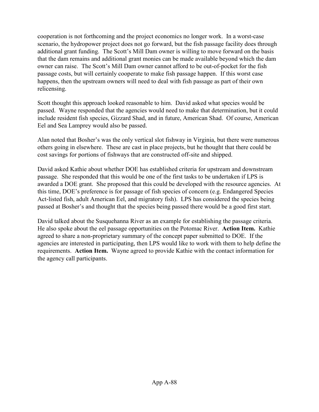cooperation is not forthcoming and the project economics no longer work. In a worst-case scenario, the hydropower project does not go forward, but the fish passage facility does through additional grant funding. The Scott's Mill Dam owner is willing to move forward on the basis that the dam remains and additional grant monies can be made available beyond which the dam owner can raise. The Scott's Mill Dam owner cannot afford to be out-of-pocket for the fish passage costs, but will certainly cooperate to make fish passage happen. If this worst case happens, then the upstream owners will need to deal with fish passage as part of their own relicensing.

Scott thought this approach looked reasonable to him. David asked what species would be passed. Wayne responded that the agencies would need to make that determination, but it could include resident fish species, Gizzard Shad, and in future, American Shad. Of course, American Eel and Sea Lamprey would also be passed.

Alan noted that Bosher's was the only vertical slot fishway in Virginia, but there were numerous others going in elsewhere. These are cast in place projects, but he thought that there could be cost savings for portions of fishways that are constructed off-site and shipped.

David asked Kathie about whether DOE has established criteria for upstream and downstream passage. She responded that this would be one of the first tasks to be undertaken if LPS is awarded a DOE grant. She proposed that this could be developed with the resource agencies. At this time, DOE's preference is for passage of fish species of concern (e.g. Endangered Species Act-listed fish, adult American Eel, and migratory fish). LPS has considered the species being passed at Bosher's and thought that the species being passed there would be a good first start.

David talked about the Susquehanna River as an example for establishing the passage criteria. He also spoke about the eel passage opportunities on the Potomac River. **Action Item.** Kathie agreed to share a non-proprietary summary of the concept paper submitted to DOE. If the agencies are interested in participating, then LPS would like to work with them to help define the requirements. **Action Item.** Wayne agreed to provide Kathie with the contact information for the agency call participants.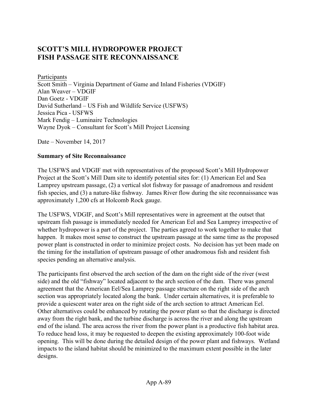# **SCOTT'S MILL HYDROPOWER PROJECT FISH PASSAGE SITE RECONNAISSANCE**

Participants Scott Smith – Virginia Department of Game and Inland Fisheries (VDGIF) Alan Weaver – VDGIF Dan Goetz - VDGIF David Sutherland – US Fish and Wildlife Service (USFWS) Jessica Pica - USFWS Mark Fendig – Luminaire Technologies Wayne Dyok – Consultant for Scott's Mill Project Licensing

Date – November 14, 2017

#### **Summary of Site Reconnaissance**

The USFWS and VDGIF met with representatives of the proposed Scott's Mill Hydropower Project at the Scott's Mill Dam site to identify potential sites for: (1) American Eel and Sea Lamprey upstream passage, (2) a vertical slot fishway for passage of anadromous and resident fish species, and (3) a nature-like fishway. James River flow during the site reconnaissance was approximately 1,200 cfs at Holcomb Rock gauge.

The USFWS, VDGIF, and Scott's Mill representatives were in agreement at the outset that upstream fish passage is immediately needed for American Eel and Sea Lamprey irrespective of whether hydropower is a part of the project. The parties agreed to work together to make that happen. It makes most sense to construct the upstream passage at the same time as the proposed power plant is constructed in order to minimize project costs. No decision has yet been made on the timing for the installation of upstream passage of other anadromous fish and resident fish species pending an alternative analysis.

The participants first observed the arch section of the dam on the right side of the river (west side) and the old "fishway" located adjacent to the arch section of the dam. There was general agreement that the American Eel/Sea Lamprey passage structure on the right side of the arch section was appropriately located along the bank. Under certain alternatives, it is preferable to provide a quiescent water area on the right side of the arch section to attract American Eel. Other alternatives could be enhanced by rotating the power plant so that the discharge is directed away from the right bank, and the turbine discharge is across the river and along the upstream end of the island. The area across the river from the power plant is a productive fish habitat area. To reduce head loss, it may be requested to deepen the existing approximately 100-foot wide opening. This will be done during the detailed design of the power plant and fishways. Wetland impacts to the island habitat should be minimized to the maximum extent possible in the later designs.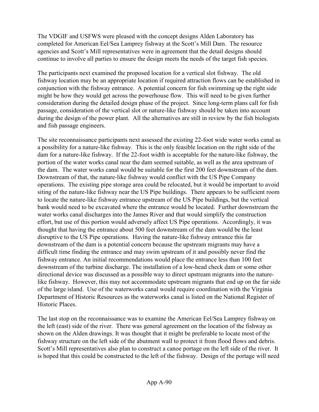The VDGIF and USFWS were pleased with the concept designs Alden Laboratory has completed for American Eel/Sea Lamprey fishway at the Scott's Mill Dam. The resource agencies and Scott's Mill representatives were in agreement that the detail designs should continue to involve all parties to ensure the design meets the needs of the target fish species.

The participants next examined the proposed location for a vertical slot fishway. The old fishway location may be an appropriate location if required attraction flows can be established in conjunction with the fishway entrance. A potential concern for fish swimming up the right side might be how they would get across the powerhouse flow. This will need to be given further consideration during the detailed design phase of the project. Since long-term plans call for fish passage, consideration of the vertical slot or nature-like fishway should be taken into account during the design of the power plant. All the alternatives are still in review by the fish biologists and fish passage engineers.

The site reconnaissance participants next assessed the existing 22-foot wide water works canal as a possibility for a nature-like fishway. This is the only feasible location on the right side of the dam for a nature-like fishway. If the 22-foot width is acceptable for the nature-like fishway, the portion of the water works canal near the dam seemed suitable, as well as the area upstream of the dam. The water works canal would be suitable for the first 200 feet downstream of the dam. Downstream of that, the nature-like fishway would conflict with the US Pipe Company operations. The existing pipe storage area could be relocated, but it would be important to avoid siting of the nature-like fishway near the US Pipe buildings. There appears to be sufficient room to locate the nature-like fishway entrance upstream of the US Pipe buildings, but the vertical bank would need to be excavated where the entrance would be located. Further downstream the water works canal discharges into the James River and that would simplify the construction effort, but use of this portion would adversely affect US Pipe operations. Accordingly, it was thought that having the entrance about 500 feet downstream of the dam would be the least disruptive to the US Pipe operations. Having the nature-like fishway entrance this far downstream of the dam is a potential concern because the upstream migrants may have a difficult time finding the entrance and may swim upstream of it and possibly never find the fishway entrance. An initial recommendations would place the entrance less than 100 feet downstream of the turbine discharge. The installation of a low-head check dam or some other directional device was discussed as a possible way to direct upstream migrants into the naturelike fishway. However, this may not accommodate upstream migrants that end up on the far side of the large island. Use of the waterworks canal would require coordination with the Virginia Department of Historic Resources as the waterworks canal is listed on the National Register of Historic Places.

The last stop on the reconnaissance was to examine the American Eel/Sea Lamprey fishway on the left (east) side of the river. There was general agreement on the location of the fishway as shown on the Alden drawings. It was thought that it might be preferable to locate most of the fishway structure on the left side of the abutment wall to protect it from flood flows and debris. Scott's Mill representatives also plan to construct a canoe portage on the left side of the river. It is hoped that this could be constructed to the left of the fishway. Design of the portage will need